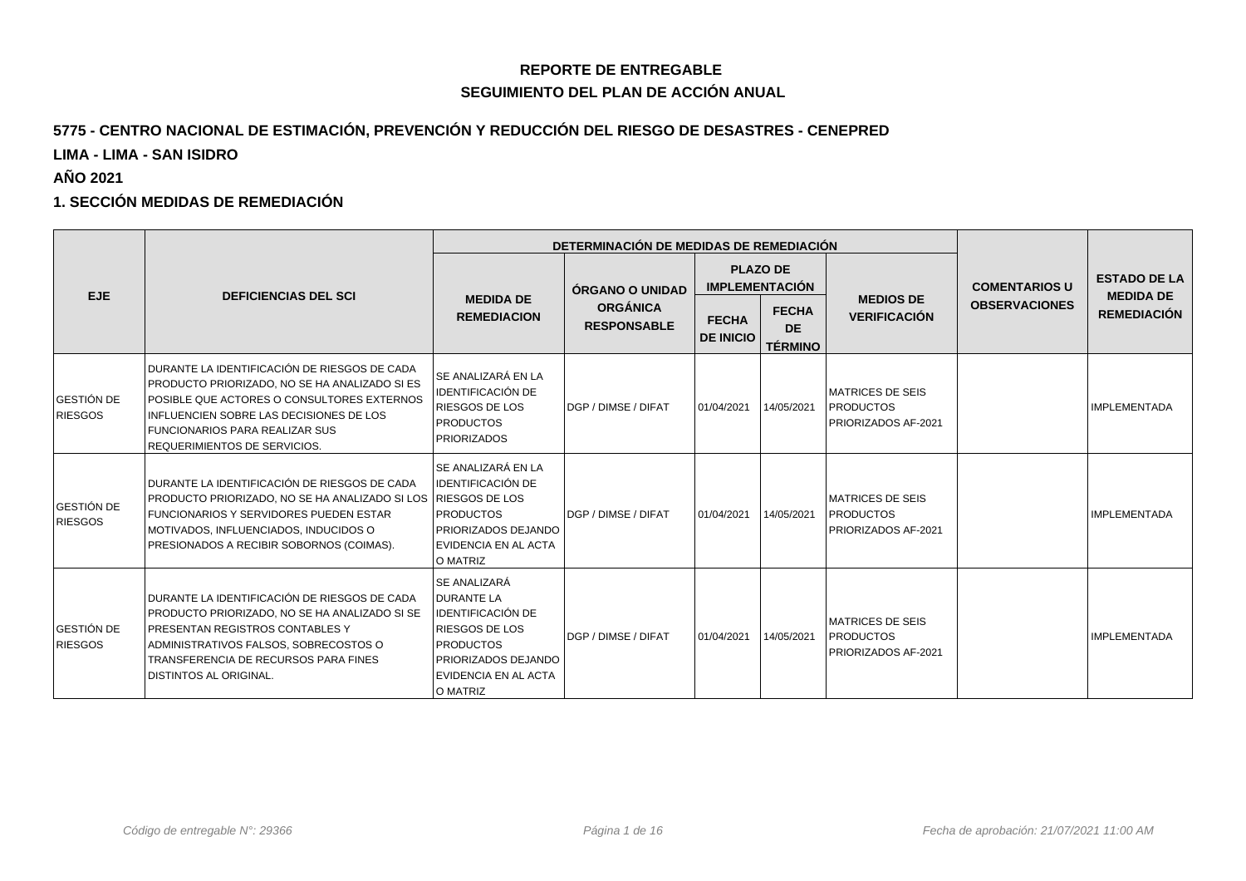### **REPORTE DE ENTREGABLE SEGUIMIENTO DEL PLAN DE ACCIÓN ANUAL**

### **5775 - CENTRO NACIONAL DE ESTIMACIÓN, PREVENCIÓN Y REDUCCIÓN DEL RIESGO DE DESASTRES - CENEPRED**

**LIMA - LIMA - SAN ISIDRO**

**AÑO 2021**

#### **1. SECCIÓN MEDIDAS DE REMEDIACIÓN**

|                                     |                                                                                                                                                                                                                                                                 |                                                                                                                                                                              | DETERMINACIÓN DE MEDIDAS DE REMEDIACIÓN |                                  |                                             |                                                                     |                      |                                         |
|-------------------------------------|-----------------------------------------------------------------------------------------------------------------------------------------------------------------------------------------------------------------------------------------------------------------|------------------------------------------------------------------------------------------------------------------------------------------------------------------------------|-----------------------------------------|----------------------------------|---------------------------------------------|---------------------------------------------------------------------|----------------------|-----------------------------------------|
| EJE.                                | <b>DEFICIENCIAS DEL SCI</b>                                                                                                                                                                                                                                     |                                                                                                                                                                              | ÓRGANO O UNIDAD                         |                                  | <b>PLAZO DE</b><br><b>IMPLEMENTACIÓN</b>    |                                                                     | <b>COMENTARIOS U</b> | <b>ESTADO DE LA</b><br><b>MEDIDA DE</b> |
|                                     |                                                                                                                                                                                                                                                                 | <b>MEDIDA DE</b><br><b>REMEDIACION</b>                                                                                                                                       | <b>ORGÁNICA</b><br><b>RESPONSABLE</b>   | <b>FECHA</b><br><b>DE INICIO</b> | <b>FECHA</b><br><b>DE</b><br><b>TÉRMINO</b> | <b>MEDIOS DE</b><br><b>VERIFICACIÓN</b>                             | <b>OBSERVACIONES</b> | <b>REMEDIACIÓN</b>                      |
| <b>GESTIÓN DE</b><br><b>RIESGOS</b> | DURANTE LA IDENTIFICACIÓN DE RIESGOS DE CADA<br>PRODUCTO PRIORIZADO, NO SE HA ANALIZADO SI ES<br>POSIBLE QUE ACTORES O CONSULTORES EXTERNOS<br>INFLUENCIEN SOBRE LAS DECISIONES DE LOS<br><b>FUNCIONARIOS PARA REALIZAR SUS</b><br>REQUERIMIENTOS DE SERVICIOS. | SE ANALIZARÁ EN LA<br><b>IDENTIFICACIÓN DE</b><br><b>RIESGOS DE LOS</b><br><b>PRODUCTOS</b><br><b>PRIORIZADOS</b>                                                            | <b>IDGP / DIMSE / DIFAT</b>             | 01/04/2021                       | 14/05/2021                                  | <b>MATRICES DE SEIS</b><br><b>PRODUCTOS</b><br>PRIORIZADOS AF-2021  |                      | <b>IMPLEMENTADA</b>                     |
| <b>GESTIÓN DE</b><br><b>RIESGOS</b> | DURANTE LA IDENTIFICACIÓN DE RIESGOS DE CADA<br><b>PRODUCTO PRIORIZADO. NO SE HA ANALIZADO SI LOS RIESGOS DE LOS</b><br>FUNCIONARIOS Y SERVIDORES PUEDEN ESTAR<br>MOTIVADOS, INFLUENCIADOS, INDUCIDOS O<br>PRESIONADOS A RECIBIR SOBORNOS (COIMAS).             | <b>SE ANALIZARÁ EN LA</b><br><b>IDENTIFICACIÓN DE</b><br><b>PRODUCTOS</b><br><b>PRIORIZADOS DEJANDO</b><br>EVIDENCIA EN AL ACTA<br>O MATRIZ                                  | DGP / DIMSE / DIFAT                     | 01/04/2021                       | 14/05/2021                                  | <b>MATRICES DE SEIS</b><br><b>PRODUCTOS</b><br>PRIORIZADOS AF-2021  |                      | <b>IMPLEMENTADA</b>                     |
| <b>GESTIÓN DE</b><br><b>RIESGOS</b> | DURANTE LA IDENTIFICACIÓN DE RIESGOS DE CADA<br>PRODUCTO PRIORIZADO, NO SE HA ANALIZADO SI SE<br><b>PRESENTAN REGISTROS CONTABLES Y</b><br>ADMINISTRATIVOS FALSOS, SOBRECOSTOS O<br>TRANSFERENCIA DE RECURSOS PARA FINES<br><b>DISTINTOS AL ORIGINAL.</b>       | <b>SE ANALIZARÁ</b><br><b>DURANTE LA</b><br><b>IDENTIFICACIÓN DE</b><br><b>RIESGOS DE LOS</b><br><b>PRODUCTOS</b><br>PRIORIZADOS DEJANDO<br>EVIDENCIA EN AL ACTA<br>O MATRIZ | DGP / DIMSE / DIFAT                     | 01/04/2021                       | 14/05/2021                                  | <b>IMATRICES DE SEIS</b><br><b>PRODUCTOS</b><br>PRIORIZADOS AF-2021 |                      | IMPLEMENTADA                            |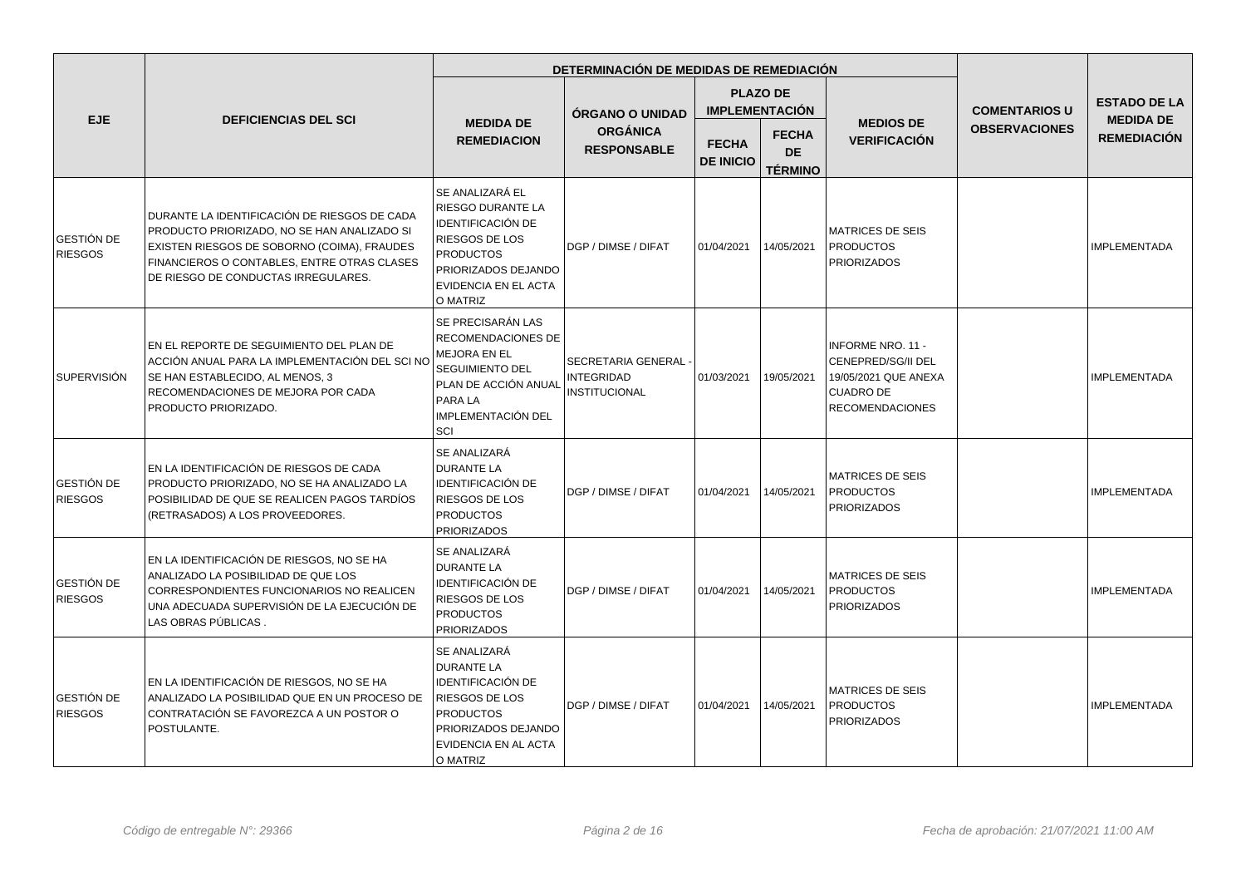|                                     |                                                                                                                                                                                                                                  |                                                                                                                                                                          | DETERMINACIÓN DE MEDIDAS DE REMEDIACIÓN                           |                                  |                                             |                                                                                                                      |                      |                                        |
|-------------------------------------|----------------------------------------------------------------------------------------------------------------------------------------------------------------------------------------------------------------------------------|--------------------------------------------------------------------------------------------------------------------------------------------------------------------------|-------------------------------------------------------------------|----------------------------------|---------------------------------------------|----------------------------------------------------------------------------------------------------------------------|----------------------|----------------------------------------|
|                                     |                                                                                                                                                                                                                                  |                                                                                                                                                                          | <b>ÓRGANO O UNIDAD</b>                                            |                                  | <b>PLAZO DE</b><br><b>IMPLEMENTACIÓN</b>    |                                                                                                                      | <b>COMENTARIOS U</b> | <b>ESTADO DE LA</b>                    |
| <b>EJE</b>                          | <b>DEFICIENCIAS DEL SCI</b>                                                                                                                                                                                                      | <b>MEDIDA DE</b><br><b>REMEDIACION</b>                                                                                                                                   | <b>ORGÁNICA</b><br><b>RESPONSABLE</b>                             | <b>FECHA</b><br><b>DE INICIO</b> | <b>FECHA</b><br><b>DE</b><br><b>TÉRMINO</b> | <b>MEDIOS DE</b><br><b>VERIFICACIÓN</b>                                                                              | <b>OBSERVACIONES</b> | <b>MEDIDA DE</b><br><b>REMEDIACIÓN</b> |
| GESTIÓN DE<br><b>RIESGOS</b>        | DURANTE LA IDENTIFICACIÓN DE RIESGOS DE CADA<br>PRODUCTO PRIORIZADO, NO SE HAN ANALIZADO SI<br>EXISTEN RIESGOS DE SOBORNO (COIMA), FRAUDES<br>FINANCIEROS O CONTABLES, ENTRE OTRAS CLASES<br>DE RIESGO DE CONDUCTAS IRREGULARES. | SE ANALIZARÁ EL<br>RIESGO DURANTE LA<br><b>IDENTIFICACIÓN DE</b><br><b>RIESGOS DE LOS</b><br><b>PRODUCTOS</b><br>PRIORIZADOS DEJANDO<br>EVIDENCIA EN EL ACTA<br>O MATRIZ | DGP / DIMSE / DIFAT                                               | 01/04/2021                       | 14/05/2021                                  | <b>MATRICES DE SEIS</b><br><b>PRODUCTOS</b><br><b>PRIORIZADOS</b>                                                    |                      | <b>IMPLEMENTADA</b>                    |
| l SUPERVISIÓN                       | EN EL REPORTE DE SEGUIMIENTO DEL PLAN DE<br>ACCIÓN ANUAL PARA LA IMPLEMENTACIÓN DEL SCI NO<br>SE HAN ESTABLECIDO, AL MENOS, 3<br>RECOMENDACIONES DE MEJORA POR CADA<br>PRODUCTO PRIORIZADO.                                      | SE PRECISARÁN LAS<br><b>RECOMENDACIONES DE</b><br>MEJORA EN EL<br><b>SEGUIMIENTO DEL</b><br>PLAN DE ACCIÓN ANUAL<br>PARA LA<br>IMPLEMENTACIÓN DEL<br>SCI                 | SECRETARIA GENERAL -<br><b>INTEGRIDAD</b><br><b>INSTITUCIONAL</b> | 01/03/2021                       | 19/05/2021                                  | <b>INFORME NRO. 11 -</b><br>CENEPRED/SG/II DEL<br>19/05/2021 QUE ANEXA<br><b>CUADRO DE</b><br><b>RECOMENDACIONES</b> |                      | <b>IMPLEMENTADA</b>                    |
| GESTIÓN DE<br><b>RIESGOS</b>        | EN LA IDENTIFICACIÓN DE RIESGOS DE CADA<br>PRODUCTO PRIORIZADO, NO SE HA ANALIZADO LA<br>POSIBILIDAD DE QUE SE REALICEN PAGOS TARDÍOS<br>(RETRASADOS) A LOS PROVEEDORES.                                                         | SE ANALIZARÁ<br><b>DURANTE LA</b><br><b>IDENTIFICACIÓN DE</b><br><b>RIESGOS DE LOS</b><br><b>PRODUCTOS</b><br><b>PRIORIZADOS</b>                                         | DGP / DIMSE / DIFAT                                               | 01/04/2021                       | 14/05/2021                                  | <b>MATRICES DE SEIS</b><br><b>PRODUCTOS</b><br><b>PRIORIZADOS</b>                                                    |                      | <b>IMPLEMENTADA</b>                    |
| <b>GESTIÓN DE</b><br><b>RIESGOS</b> | EN LA IDENTIFICACIÓN DE RIESGOS, NO SE HA<br>ANALIZADO LA POSIBILIDAD DE QUE LOS<br>CORRESPONDIENTES FUNCIONARIOS NO REALICEN<br>UNA ADECUADA SUPERVISIÓN DE LA EJECUCIÓN DE<br>LAS OBRAS PÚBLICAS.                              | SE ANALIZARÁ<br><b>DURANTE LA</b><br><b>IDENTIFICACIÓN DE</b><br>RIESGOS DE LOS<br><b>PRODUCTOS</b><br><b>PRIORIZADOS</b>                                                | DGP / DIMSE / DIFAT                                               | 01/04/2021                       | 14/05/2021                                  | <b>MATRICES DE SEIS</b><br><b>PRODUCTOS</b><br><b>PRIORIZADOS</b>                                                    |                      | <b>IMPLEMENTADA</b>                    |
| GESTIÓN DE<br><b>RIESGOS</b>        | EN LA IDENTIFICACIÓN DE RIESGOS, NO SE HA<br>ANALIZADO LA POSIBILIDAD QUE EN UN PROCESO DE<br>CONTRATACIÓN SE FAVOREZCA A UN POSTOR O<br><b>POSTULANTE.</b>                                                                      | SE ANALIZARÁ<br><b>DURANTE LA</b><br><b>IDENTIFICACIÓN DE</b><br><b>RIESGOS DE LOS</b><br><b>PRODUCTOS</b><br>PRIORIZADOS DEJANDO<br>EVIDENCIA EN AL ACTA<br>O MATRIZ    | DGP / DIMSE / DIFAT                                               | 01/04/2021                       | 14/05/2021                                  | <b>MATRICES DE SEIS</b><br><b>PRODUCTOS</b><br><b>PRIORIZADOS</b>                                                    |                      | <b>IMPLEMENTADA</b>                    |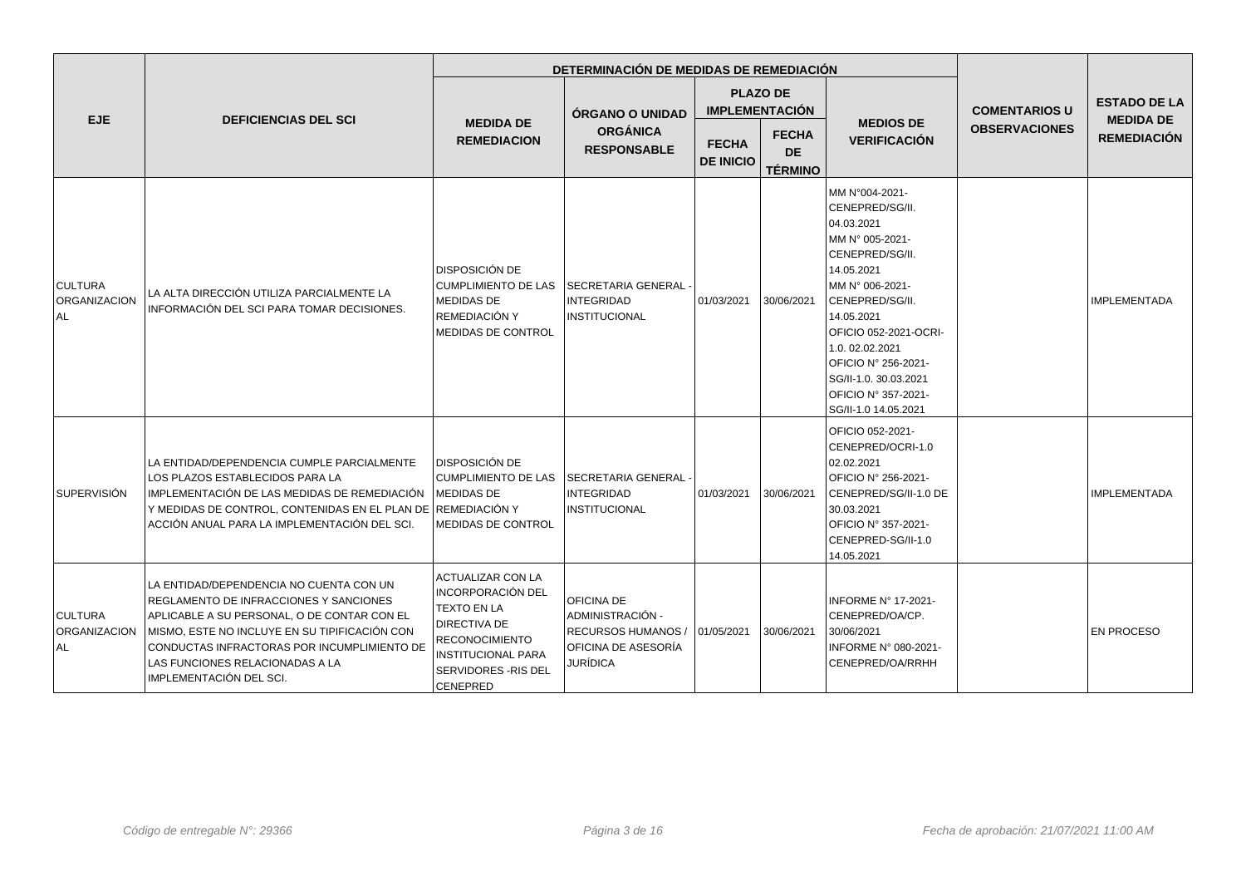|                                               |                                                                                                                                                                                                                                                                                                |                                                                                                                                                                               | DETERMINACIÓN DE MEDIDAS DE REMEDIACIÓN                                                                   |            |                                             |                                                                                                                                                                                                                                                                                                   |                      |                                         |
|-----------------------------------------------|------------------------------------------------------------------------------------------------------------------------------------------------------------------------------------------------------------------------------------------------------------------------------------------------|-------------------------------------------------------------------------------------------------------------------------------------------------------------------------------|-----------------------------------------------------------------------------------------------------------|------------|---------------------------------------------|---------------------------------------------------------------------------------------------------------------------------------------------------------------------------------------------------------------------------------------------------------------------------------------------------|----------------------|-----------------------------------------|
| EJE.                                          | <b>DEFICIENCIAS DEL SCI</b>                                                                                                                                                                                                                                                                    |                                                                                                                                                                               | <b>ÓRGANO O UNIDAD</b>                                                                                    |            | <b>PLAZO DE</b><br><b>IMPLEMENTACIÓN</b>    |                                                                                                                                                                                                                                                                                                   | <b>COMENTARIOS U</b> | <b>ESTADO DE LA</b><br><b>MEDIDA DE</b> |
|                                               |                                                                                                                                                                                                                                                                                                | <b>MEDIDA DE</b><br><b>REMEDIACION</b>                                                                                                                                        | <b>ORGÁNICA</b><br><b>FECHA</b><br><b>RESPONSABLE</b><br><b>DE INICIO</b>                                 |            | <b>FECHA</b><br><b>DE</b><br><b>TÉRMINO</b> | <b>MEDIOS DE</b><br><b>VERIFICACIÓN</b>                                                                                                                                                                                                                                                           | <b>OBSERVACIONES</b> | <b>REMEDIACIÓN</b>                      |
| <b>CULTURA</b><br><b>ORGANIZACION</b><br>l al | LA ALTA DIRECCIÓN UTILIZA PARCIALMENTE LA<br>INFORMACIÓN DEL SCI PARA TOMAR DECISIONES.                                                                                                                                                                                                        | <b>DISPOSICIÓN DE</b><br><b>CUMPLIMIENTO DE LAS</b><br><b>MEDIDAS DE</b><br>REMEDIACIÓN Y<br><b>MEDIDAS DE CONTROL</b>                                                        | l SECRETARIA GENERAL ·<br><b>INTEGRIDAD</b><br>INSTITUCIONAL                                              | 01/03/2021 | 30/06/2021                                  | MM N°004-2021-<br>CENEPRED/SG/II.<br>04.03.2021<br>MM N° 005-2021-<br>CENEPRED/SG/II.<br>14.05.2021<br>MM N° 006-2021-<br>CENEPRED/SG/II.<br>14.05.2021<br>OFICIO 052-2021-OCRI-<br>1.0.02.02.2021<br>OFICIO Nº 256-2021-<br>SG/II-1.0. 30.03.2021<br>OFICIO Nº 357-2021-<br>SG/II-1.0 14.05.2021 |                      | <b>IMPLEMENTADA</b>                     |
| <b>SUPERVISIÓN</b>                            | LA ENTIDAD/DEPENDENCIA CUMPLE PARCIALMENTE<br>LOS PLAZOS ESTABLECIDOS PARA LA<br>IMPLEMENTACIÓN DE LAS MEDIDAS DE REMEDIACIÓN<br>Y MEDIDAS DE CONTROL, CONTENIDAS EN EL PLAN DE REMEDIACIÓN Y<br>ACCIÓN ANUAL PARA LA IMPLEMENTACIÓN DEL SCI.                                                  | <b>DISPOSICIÓN DE</b><br><b>CUMPLIMIENTO DE LAS</b><br><b>MEDIDAS DE</b><br><b>MEDIDAS DE CONTROL</b>                                                                         | SECRETARIA GENERAL -<br><b>INTEGRIDAD</b><br><b>INSTITUCIONAL</b>                                         | 01/03/2021 | 30/06/2021                                  | OFICIO 052-2021-<br>CENEPRED/OCRI-1.0<br>02.02.2021<br>OFICIO Nº 256-2021-<br>CENEPRED/SG/II-1.0 DE<br>30.03.2021<br>OFICIO Nº 357-2021-<br>CENEPRED-SG/II-1.0<br>14.05.2021                                                                                                                      |                      | <b>IMPLEMENTADA</b>                     |
| <b>CULTURA</b><br><b>ORGANIZACION</b><br>AL.  | LA ENTIDAD/DEPENDENCIA NO CUENTA CON UN<br>REGLAMENTO DE INFRACCIONES Y SANCIONES<br>APLICABLE A SU PERSONAL, O DE CONTAR CON EL<br>MISMO, ESTE NO INCLUYE EN SU TIPIFICACIÓN CON<br>CONDUCTAS INFRACTORAS POR INCUMPLIMIENTO DE<br>LAS FUNCIONES RELACIONADAS A LA<br>IMPLEMENTACIÓN DEL SCI. | ACTUALIZAR CON LA<br><b>INCORPORACIÓN DEL</b><br>TEXTO EN LA<br><b>DIRECTIVA DE</b><br><b>RECONOCIMIENTO</b><br><b>INSTITUCIONAL PARA</b><br>SERVIDORES - RIS DEL<br>CENEPRED | <b>OFICINA DE</b><br>ADMINISTRACIÓN -<br>RECURSOS HUMANOS / 01/05/2021<br>OFICINA DE ASESORÍA<br>JURÍDICA |            | 30/06/2021                                  | INFORME Nº 17-2021-<br>CENEPRED/OA/CP.<br>30/06/2021<br>INFORME N° 080-2021-<br>CENEPRED/OA/RRHH                                                                                                                                                                                                  |                      | <b>EN PROCESO</b>                       |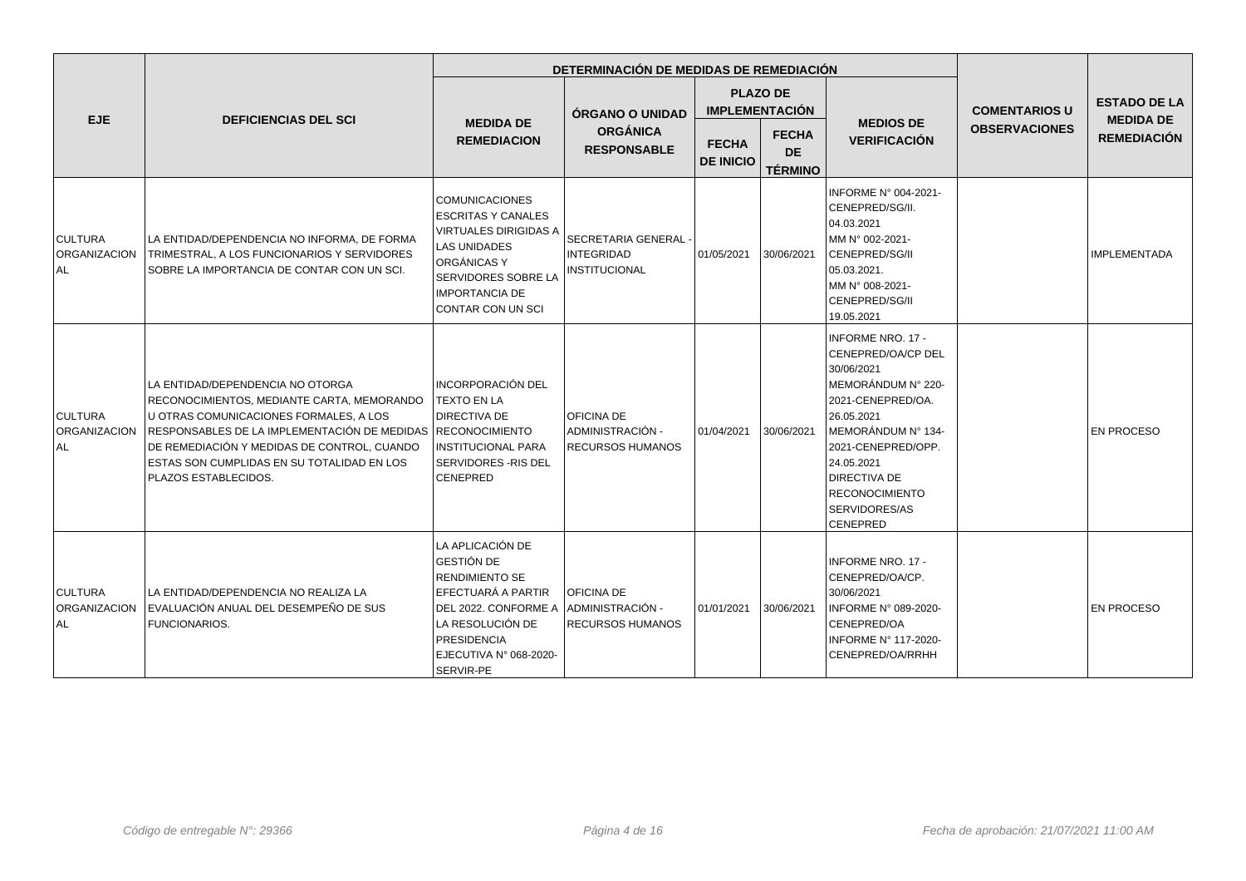|                                               |                                                                                                                                                                                                                                                                                               | DETERMINACIÓN DE MEDIDAS DE REMEDIACIÓN                                                                                                                                                       |                                                                   |                                  |                                             |                                                                                                                                                                                                                                                              |                      |                                         |  |
|-----------------------------------------------|-----------------------------------------------------------------------------------------------------------------------------------------------------------------------------------------------------------------------------------------------------------------------------------------------|-----------------------------------------------------------------------------------------------------------------------------------------------------------------------------------------------|-------------------------------------------------------------------|----------------------------------|---------------------------------------------|--------------------------------------------------------------------------------------------------------------------------------------------------------------------------------------------------------------------------------------------------------------|----------------------|-----------------------------------------|--|
| <b>EJE</b>                                    | <b>DEFICIENCIAS DEL SCI</b>                                                                                                                                                                                                                                                                   |                                                                                                                                                                                               | ÓRGANO O UNIDAD                                                   |                                  | <b>PLAZO DE</b><br><b>IMPLEMENTACIÓN</b>    |                                                                                                                                                                                                                                                              | <b>COMENTARIOS U</b> | <b>ESTADO DE LA</b><br><b>MEDIDA DE</b> |  |
|                                               |                                                                                                                                                                                                                                                                                               | <b>MEDIDA DE</b><br><b>REMEDIACION</b>                                                                                                                                                        | <b>ORGÁNICA</b><br><b>RESPONSABLE</b>                             | <b>FECHA</b><br><b>DE INICIO</b> | <b>FECHA</b><br><b>DE</b><br><b>TÉRMINO</b> | <b>MEDIOS DE</b><br><b>VERIFICACIÓN</b>                                                                                                                                                                                                                      | <b>OBSERVACIONES</b> | <b>REMEDIACIÓN</b>                      |  |
| <b>CULTURA</b><br>ORGANIZACION<br>ALL.        | LA ENTIDAD/DEPENDENCIA NO INFORMA, DE FORMA<br>TRIMESTRAL, A LOS FUNCIONARIOS Y SERVIDORES<br>SOBRE LA IMPORTANCIA DE CONTAR CON UN SCI.                                                                                                                                                      | <b>COMUNICACIONES</b><br><b>ESCRITAS Y CANALES</b><br><b>VIRTUALES DIRIGIDAS A</b><br><b>LAS UNIDADES</b><br>ORGÁNICAS Y<br>SERVIDORES SOBRE LA<br><b>IMPORTANCIA DE</b><br>CONTAR CON UN SCI | SECRETARIA GENERAL -<br><b>INTEGRIDAD</b><br><b>INSTITUCIONAL</b> | 01/05/2021                       | 30/06/2021                                  | INFORME N° 004-2021-<br>CENEPRED/SG/II.<br>04.03.2021<br>MM N° 002-2021-<br>CENEPRED/SG/II<br>05.03.2021.<br>MM N° 008-2021-<br>CENEPRED/SG/II<br>19.05.2021                                                                                                 |                      | <b>IMPLEMENTADA</b>                     |  |
| <b>CULTURA</b><br><b>ORGANIZACION</b><br>l AL | LA ENTIDAD/DEPENDENCIA NO OTORGA<br>RECONOCIMIENTOS, MEDIANTE CARTA, MEMORANDO<br>U OTRAS COMUNICACIONES FORMALES, A LOS<br>RESPONSABLES DE LA IMPLEMENTACIÓN DE MEDIDAS<br>DE REMEDIACIÓN Y MEDIDAS DE CONTROL, CUANDO<br>ESTAS SON CUMPLIDAS EN SU TOTALIDAD EN LOS<br>PLAZOS ESTABLECIDOS. | INCORPORACIÓN DEL<br><b>TEXTO EN LA</b><br>DIRECTIVA DE<br>RECONOCIMIENTO<br><b>INSTITUCIONAL PARA</b><br>SERVIDORES - RIS DEL<br>CENEPRED                                                    | <b>OFICINA DE</b><br>ADMINISTRACIÓN -<br><b>RECURSOS HUMANOS</b>  | 01/04/2021                       | 30/06/2021                                  | <b>INFORME NRO. 17 -</b><br>CENEPRED/OA/CP DEL<br>30/06/2021<br>MEMORÁNDUM Nº 220-<br>2021-CENEPRED/OA.<br>26.05.2021<br>MEMORÁNDUM Nº 134-<br>2021-CENEPRED/OPP.<br>24.05.2021<br><b>DIRECTIVA DE</b><br><b>RECONOCIMIENTO</b><br>SERVIDORES/AS<br>CENEPRED |                      | <b>EN PROCESO</b>                       |  |
| <b>CULTURA</b><br><b>ORGANIZACION</b><br>ALL. | LA ENTIDAD/DEPENDENCIA NO REALIZA LA<br>EVALUACIÓN ANUAL DEL DESEMPEÑO DE SUS<br>FUNCIONARIOS.                                                                                                                                                                                                | LA APLICACIÓN DE<br>GESTIÓN DE<br><b>RENDIMIENTO SE</b><br>EFECTUARÁ A PARTIR<br>DEL 2022. CONFORME A<br>LA RESOLUCIÓN DE<br>PRESIDENCIA<br>EJECUTIVA Nº 068-2020-<br>SERVIR-PE               | <b>OFICINA DE</b><br>ADMINISTRACIÓN -<br><b>RECURSOS HUMANOS</b>  | 01/01/2021                       | 30/06/2021                                  | <b>INFORME NRO. 17 -</b><br>CENEPRED/OA/CP.<br>30/06/2021<br>INFORME N° 089-2020-<br>CENEPRED/OA<br>INFORME Nº 117-2020-<br>CENEPRED/OA/RRHH                                                                                                                 |                      | <b>EN PROCESO</b>                       |  |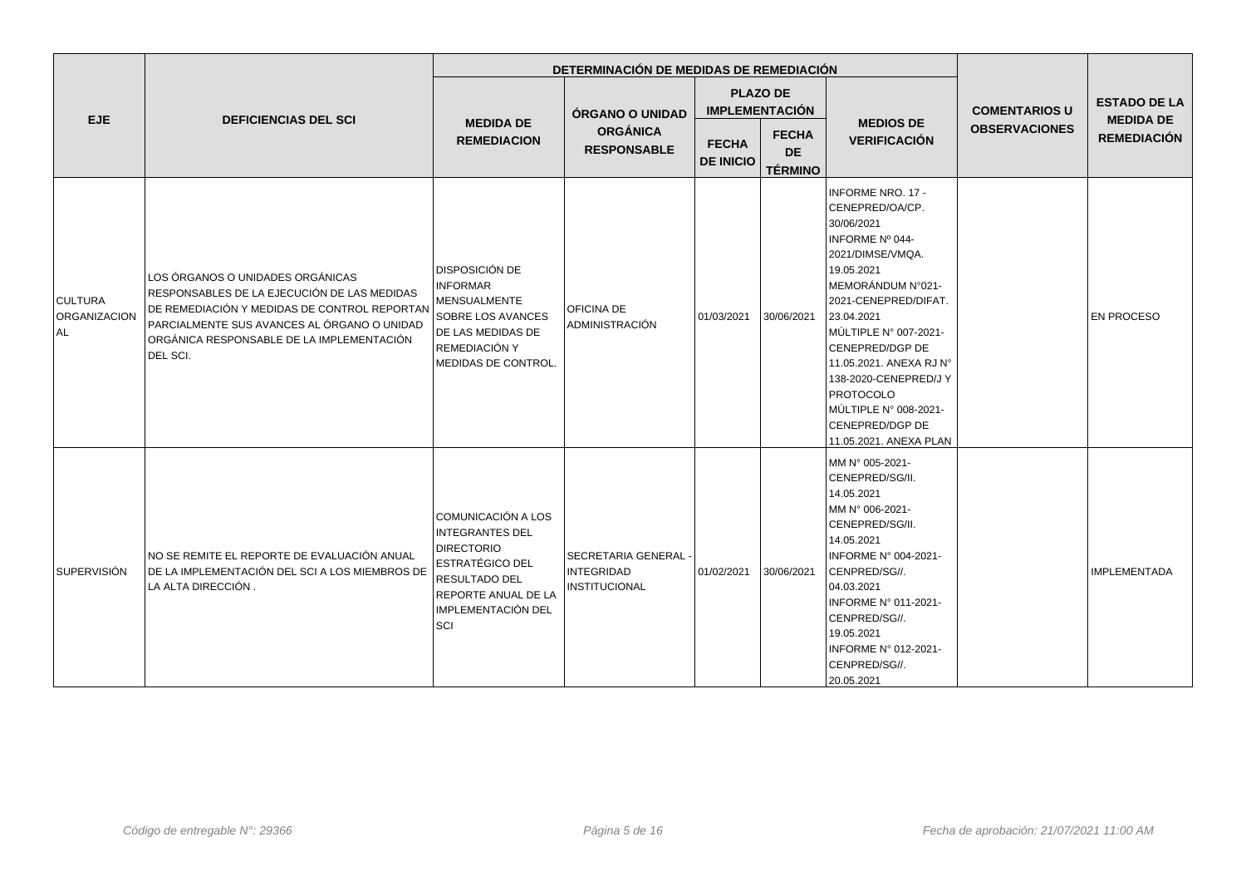|                                       |                                                                                                                                                                                                                                         |                                                                                                                                                                         | DETERMINACIÓN DE MEDIDAS DE REMEDIACIÓN                      |                                  |                                             |                                                                                                                                                                                                                                                                                                                                                                     |                      |                                                                                      |
|---------------------------------------|-----------------------------------------------------------------------------------------------------------------------------------------------------------------------------------------------------------------------------------------|-------------------------------------------------------------------------------------------------------------------------------------------------------------------------|--------------------------------------------------------------|----------------------------------|---------------------------------------------|---------------------------------------------------------------------------------------------------------------------------------------------------------------------------------------------------------------------------------------------------------------------------------------------------------------------------------------------------------------------|----------------------|--------------------------------------------------------------------------------------|
| <b>EJE</b>                            | <b>DEFICIENCIAS DEL SCI</b>                                                                                                                                                                                                             |                                                                                                                                                                         | ÓRGANO O UNIDAD                                              |                                  | <b>PLAZO DE</b><br><b>IMPLEMENTACIÓN</b>    |                                                                                                                                                                                                                                                                                                                                                                     | <b>COMENTARIOS U</b> | <b>ESTADO DE LA</b><br><b>MEDIDA DE</b><br><b>REMEDIACIÓN</b><br><b>IMPLEMENTADA</b> |
|                                       |                                                                                                                                                                                                                                         | <b>MEDIDA DE</b><br><b>REMEDIACION</b>                                                                                                                                  | <b>ORGÁNICA</b><br><b>RESPONSABLE</b>                        | <b>FECHA</b><br><b>DE INICIO</b> | <b>FECHA</b><br><b>DE</b><br><b>TÉRMINO</b> | <b>MEDIOS DE</b><br><b>VERIFICACIÓN</b>                                                                                                                                                                                                                                                                                                                             | <b>OBSERVACIONES</b> |                                                                                      |
| <b>CULTURA</b><br>ORGANIZACION<br>AL. | LOS ÓRGANOS O UNIDADES ORGÁNICAS<br>RESPONSABLES DE LA EJECUCIÓN DE LAS MEDIDAS<br>DE REMEDIACIÓN Y MEDIDAS DE CONTROL REPORTAN<br>PARCIALMENTE SUS AVANCES AL ÓRGANO O UNIDAD<br>ORGÁNICA RESPONSABLE DE LA IMPLEMENTACIÓN<br>DEL SCI. | <b>DISPOSICIÓN DE</b><br><b>INFORMAR</b><br><b>MENSUALMENTE</b><br>SOBRE LOS AVANCES<br>DE LAS MEDIDAS DE<br>REMEDIACIÓN Y<br>MEDIDAS DE CONTROL.                       | <b>OFICINA DE</b><br>ADMINISTRACIÓN                          | 01/03/2021                       | 30/06/2021                                  | <b>INFORME NRO. 17 -</b><br>CENEPRED/OA/CP.<br>30/06/2021<br>INFORME Nº 044-<br>2021/DIMSE/VMQA.<br>19.05.2021<br>MEMORÁNDUM N°021-<br>2021-CENEPRED/DIFAT.<br>23.04.2021<br>MÚLTIPLE N° 007-2021-<br>CENEPRED/DGP DE<br>11.05.2021. ANEXA RJ N°<br>138-2020-CENEPRED/J Y<br><b>PROTOCOLO</b><br>MÚLTIPLE N° 008-2021-<br>CENEPRED/DGP DE<br>11.05.2021. ANEXA PLAN |                      | <b>EN PROCESO</b>                                                                    |
| SUPERVISIÓN                           | NO SE REMITE EL REPORTE DE EVALUACIÓN ANUAL<br>DE LA IMPLEMENTACIÓN DEL SCI A LOS MIEMBROS DE<br>LA ALTA DIRECCIÓN.                                                                                                                     | COMUNICACIÓN A LOS<br><b>INTEGRANTES DEL</b><br><b>DIRECTORIO</b><br><b>ESTRATÉGICO DEL</b><br>RESULTADO DEL<br><b>REPORTE ANUAL DE LA</b><br>IMPLEMENTACIÓN DEL<br>SCI | l SECRETARIA GENERAL -<br><b>INTEGRIDAD</b><br>INSTITUCIONAL | 01/02/2021                       | 30/06/2021                                  | MM N° 005-2021-<br>CENEPRED/SG/II.<br>14.05.2021<br>MM N° 006-2021-<br>CENEPRED/SG/II.<br>14.05.2021<br>INFORME N° 004-2021-<br>CENPRED/SG//.<br>04.03.2021<br>INFORME N° 011-2021-<br>CENPRED/SG//.<br>19.05.2021<br>INFORME Nº 012-2021-<br>CENPRED/SG//.<br>20.05.2021                                                                                           |                      |                                                                                      |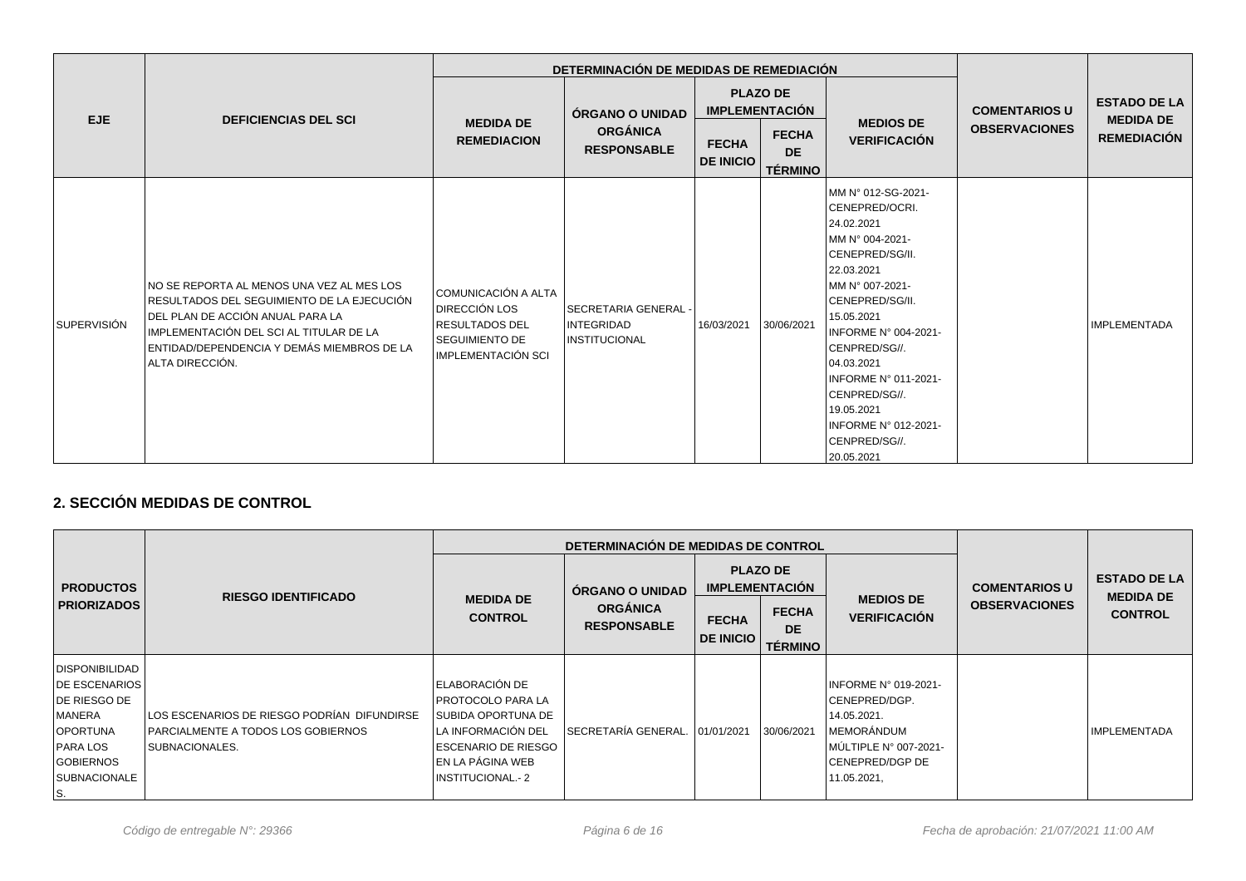|                    |                                                                                                                                                                                                                                         |                                                                                                                | DETERMINACIÓN DE MEDIDAS DE REMEDIACIÓN                      |                                  |                                                                                         |                                                                                                                                                                                                                                                                                                                                 |                                              |                                                               |
|--------------------|-----------------------------------------------------------------------------------------------------------------------------------------------------------------------------------------------------------------------------------------|----------------------------------------------------------------------------------------------------------------|--------------------------------------------------------------|----------------------------------|-----------------------------------------------------------------------------------------|---------------------------------------------------------------------------------------------------------------------------------------------------------------------------------------------------------------------------------------------------------------------------------------------------------------------------------|----------------------------------------------|---------------------------------------------------------------|
| EJE                | <b>DEFICIENCIAS DEL SCI</b>                                                                                                                                                                                                             | <b>MEDIDA DE</b><br><b>REMEDIACION</b>                                                                         | ÓRGANO O UNIDAD<br><b>ORGÁNICA</b><br><b>RESPONSABLE</b>     | <b>FECHA</b><br><b>DE INICIO</b> | <b>PLAZO DE</b><br><b>IMPLEMENTACIÓN</b><br><b>FECHA</b><br><b>DE</b><br><b>TÉRMINO</b> | <b>MEDIOS DE</b><br><b>VERIFICACIÓN</b>                                                                                                                                                                                                                                                                                         | <b>COMENTARIOS U</b><br><b>OBSERVACIONES</b> | <b>ESTADO DE LA</b><br><b>MEDIDA DE</b><br><b>REMEDIACIÓN</b> |
| <b>SUPERVISIÓN</b> | NO SE REPORTA AL MENOS UNA VEZ AL MES LOS<br>RESULTADOS DEL SEGUIMIENTO DE LA EJECUCIÓN<br>DEL PLAN DE ACCIÓN ANUAL PARA LA<br>IMPLEMENTACIÓN DEL SCI AL TITULAR DE LA<br>ENTIDAD/DEPENDENCIA Y DEMÁS MIEMBROS DE LA<br>ALTA DIRECCIÓN. | COMUNICACIÓN A ALTA<br><b>IDIRECCIÓN LOS</b><br> RESULTADOS DEL<br><b>SEGUIMIENTO DE</b><br>IMPLEMENTACIÓN SCI | l SECRETARIA GENERAL -<br><b>INTEGRIDAD</b><br>INSTITUCIONAL | 16/03/2021                       | 30/06/2021                                                                              | MM N° 012-SG-2021-<br>CENEPRED/OCRI.<br>24.02.2021<br>MM N° 004-2021-<br>CENEPRED/SG/II.<br>22.03.2021<br>MM N° 007-2021-<br>CENEPRED/SG/II.<br>15.05.2021<br>INFORME N° 004-2021-<br>CENPRED/SG//.<br>04.03.2021<br>INFORME N° 011-2021-<br>CENPRED/SG//.<br>19.05.2021<br>INFORME N° 012-2021-<br>CENPRED/SG//.<br>20.05.2021 |                                              | <b>IMPLEMENTADA</b>                                           |

# **2. SECCIÓN MEDIDAS DE CONTROL**

|                                                                                                                                                    |                                                                                                                     |                                                                                                                                                                | DETERMINACIÓN DE MEDIDAS DE CONTROL   |                                  |                                             |                                                                                                                                                |                      |                                         |
|----------------------------------------------------------------------------------------------------------------------------------------------------|---------------------------------------------------------------------------------------------------------------------|----------------------------------------------------------------------------------------------------------------------------------------------------------------|---------------------------------------|----------------------------------|---------------------------------------------|------------------------------------------------------------------------------------------------------------------------------------------------|----------------------|-----------------------------------------|
| <b>PRODUCTOS</b><br><b>PRIORIZADOS</b>                                                                                                             | <b>RIESGO IDENTIFICADO</b>                                                                                          |                                                                                                                                                                | <b>ORGANO O UNIDAD</b>                |                                  | <b>PLAZO DE</b><br><b>IMPLEMENTACIÓN</b>    |                                                                                                                                                | <b>COMENTARIOS U</b> | <b>ESTADO DE LA</b><br><b>MEDIDA DE</b> |
|                                                                                                                                                    |                                                                                                                     | <b>MEDIDA DE</b><br><b>CONTROL</b>                                                                                                                             | <b>ORGÁNICA</b><br><b>RESPONSABLE</b> | <b>FECHA</b><br><b>DE INICIO</b> | <b>FECHA</b><br><b>DE</b><br><b>TÉRMINO</b> | <b>MEDIOS DE</b><br><b>VERIFICACIÓN</b>                                                                                                        | <b>OBSERVACIONES</b> | <b>CONTROL</b>                          |
| DISPONIBILIDAD<br><b>IDE ESCENARIOS</b><br>DE RIESGO DE<br>MANERA<br><b>OPORTUNA</b><br>PARA LOS<br><b>GOBIERNOS</b><br><b>SUBNACIONALE</b><br>IS. | LOS ESCENARIOS DE RIESGO PODRÍAN DIFUNDIRSE<br><b>IPARCIALMENTE A TODOS LOS GOBIERNOS</b><br><b>ISUBNACIONALES.</b> | ELABORACIÓN DE<br>I PROTOCOLO PARA LA<br>SUBIDA OPORTUNA DE<br>LA INFORMACIÓN DEL<br><b>ESCENARIO DE RIESGO</b><br>EN LA PÁGINA WEB<br><b>INSTITUCIONAL.-2</b> | SECRETARÍA GENERAL. 101/01/2021       |                                  | 30/06/2021                                  | <b>INFORME N° 019-2021-</b><br>ICENEPRED/DGP.<br>14.05.2021.<br><b>IMEMORÁNDUM</b><br>MÚLTIPLE N° 007-2021-<br>ICENEPRED/DGP DE<br>11.05.2021, |                      | <b>IMPLEMENTADA</b>                     |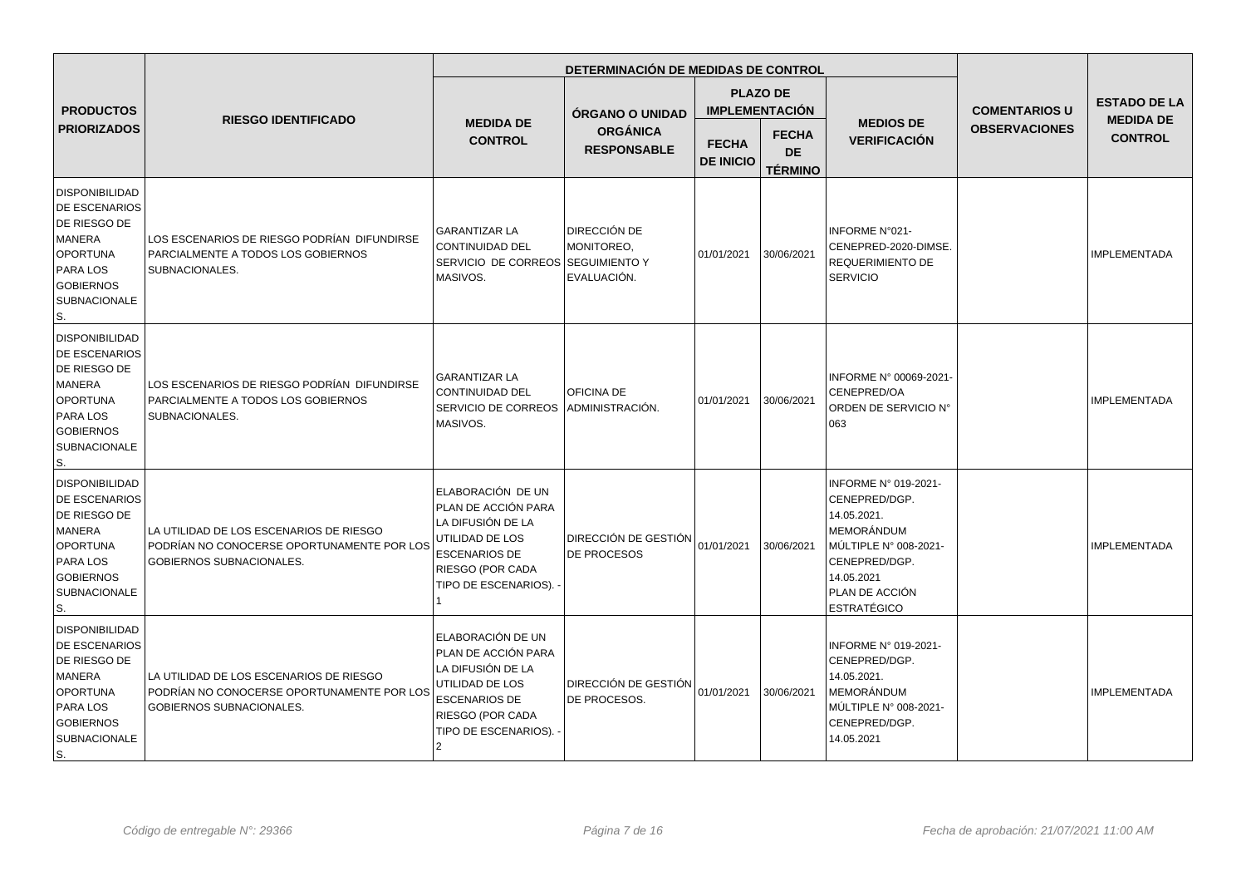|                                                                                                                                                                |                                                                                                                   |                                                                                                                                                      | DETERMINACIÓN DE MEDIDAS DE CONTROL       |                                  |                                             |                                                                                                                                                                    |                      |                                                                                                                                                       |
|----------------------------------------------------------------------------------------------------------------------------------------------------------------|-------------------------------------------------------------------------------------------------------------------|------------------------------------------------------------------------------------------------------------------------------------------------------|-------------------------------------------|----------------------------------|---------------------------------------------|--------------------------------------------------------------------------------------------------------------------------------------------------------------------|----------------------|-------------------------------------------------------------------------------------------------------------------------------------------------------|
| <b>PRODUCTOS</b>                                                                                                                                               |                                                                                                                   |                                                                                                                                                      | <b>ÓRGANO O UNIDAD</b>                    |                                  | <b>PLAZO DE</b><br><b>IMPLEMENTACIÓN</b>    |                                                                                                                                                                    | <b>COMENTARIOS U</b> | <b>ESTADO DE LA</b><br><b>MEDIDA DE</b><br><b>CONTROL</b><br><b>IMPLEMENTADA</b><br><b>IMPLEMENTADA</b><br><b>IMPLEMENTADA</b><br><b>IMPLEMENTADA</b> |
| <b>PRIORIZADOS</b>                                                                                                                                             | <b>RIESGO IDENTIFICADO</b>                                                                                        | <b>MEDIDA DE</b><br><b>CONTROL</b>                                                                                                                   | <b>ORGÁNICA</b><br><b>RESPONSABLE</b>     | <b>FECHA</b><br><b>DE INICIO</b> | <b>FECHA</b><br><b>DE</b><br><b>TÉRMINO</b> | <b>MEDIOS DE</b><br><b>VERIFICACIÓN</b>                                                                                                                            | <b>OBSERVACIONES</b> |                                                                                                                                                       |
| <b>DISPONIBILIDAD</b><br><b>DE ESCENARIOS</b><br>DE RIESGO DE<br><b>MANERA</b><br>OPORTUNA<br><b>PARA LOS</b><br><b>GOBIERNOS</b><br><b>SUBNACIONALE</b><br>S. | LOS ESCENARIOS DE RIESGO PODRÍAN DIFUNDIRSE<br>PARCIALMENTE A TODOS LOS GOBIERNOS<br>SUBNACIONALES.               | <b>GARANTIZAR LA</b><br>CONTINUIDAD DEL<br>SERVICIO DE CORREOS SEGUIMIENTO Y<br>MASIVOS.                                                             | DIRECCIÓN DE<br>MONITOREO,<br>EVALUACIÓN. | 01/01/2021                       | 30/06/2021                                  | INFORME N°021-<br>CENEPRED-2020-DIMSE.<br>REQUERIMIENTO DE<br><b>SERVICIO</b>                                                                                      |                      |                                                                                                                                                       |
| <b>DISPONIBILIDAD</b><br><b>DE ESCENARIOS</b><br>DE RIESGO DE<br>MANERA<br>OPORTUNA<br><b>PARA LOS</b><br><b>GOBIERNOS</b><br><b>SUBNACIONALE</b><br>S.        | LOS ESCENARIOS DE RIESGO PODRÍAN DIFUNDIRSE<br>PARCIALMENTE A TODOS LOS GOBIERNOS<br>SUBNACIONALES.               | <b>GARANTIZAR LA</b><br><b>CONTINUIDAD DEL</b><br>SERVICIO DE CORREOS<br>MASIVOS.                                                                    | OFICINA DE<br>ADMINISTRACIÓN.             | 01/01/2021                       | 30/06/2021                                  | INFORME N° 00069-2021<br>CENEPRED/OA<br>ORDEN DE SERVICIO N°<br>063                                                                                                |                      |                                                                                                                                                       |
| DISPONIBILIDAD<br><b>DE ESCENARIOS</b><br>DE RIESGO DE<br>MANERA<br>OPORTUNA<br><b>PARA LOS</b><br><b>GOBIERNOS</b><br><b>SUBNACIONALE</b><br>ls.              | LA UTILIDAD DE LOS ESCENARIOS DE RIESGO<br>PODRÍAN NO CONOCERSE OPORTUNAMENTE POR LOS<br>GOBIERNOS SUBNACIONALES. | ELABORACIÓN DE UN<br>PLAN DE ACCIÓN PARA<br>LA DIFUSIÓN DE LA<br>UTILIDAD DE LOS<br><b>ESCENARIOS DE</b><br>RIESGO (POR CADA<br>TIPO DE ESCENARIOS). | DIRECCIÓN DE GESTIÓN<br>DE PROCESOS       | 01/01/2021                       | 30/06/2021                                  | INFORME Nº 019-2021-<br>CENEPRED/DGP.<br>14.05.2021.<br>MEMORÁNDUM<br>MÚLTIPLE N° 008-2021-<br>CENEPRED/DGP.<br>14.05.2021<br>PLAN DE ACCIÓN<br><b>ESTRATÉGICO</b> |                      |                                                                                                                                                       |
| DISPONIBILIDAD<br><b>DE ESCENARIOS</b><br>DE RIESGO DE<br><b>MANERA</b><br>OPORTUNA<br><b>PARA LOS</b><br><b>GOBIERNOS</b><br><b>SUBNACIONALE</b><br>S.        | LA UTILIDAD DE LOS ESCENARIOS DE RIESGO<br>PODRÍAN NO CONOCERSE OPORTUNAMENTE POR LOS<br>GOBIERNOS SUBNACIONALES. | ELABORACIÓN DE UN<br>PLAN DE ACCIÓN PARA<br>LA DIFUSIÓN DE LA<br>UTILIDAD DE LOS<br><b>ESCENARIOS DE</b><br>RIESGO (POR CADA<br>TIPO DE ESCENARIOS). | DIRECCIÓN DE GESTIÓN<br>DE PROCESOS.      | 01/01/2021                       | 30/06/2021                                  | INFORME N° 019-2021-<br>CENEPRED/DGP.<br>14.05.2021.<br>MEMORÁNDUM<br>MÚLTIPLE N° 008-2021-<br>CENEPRED/DGP.<br>14.05.2021                                         |                      |                                                                                                                                                       |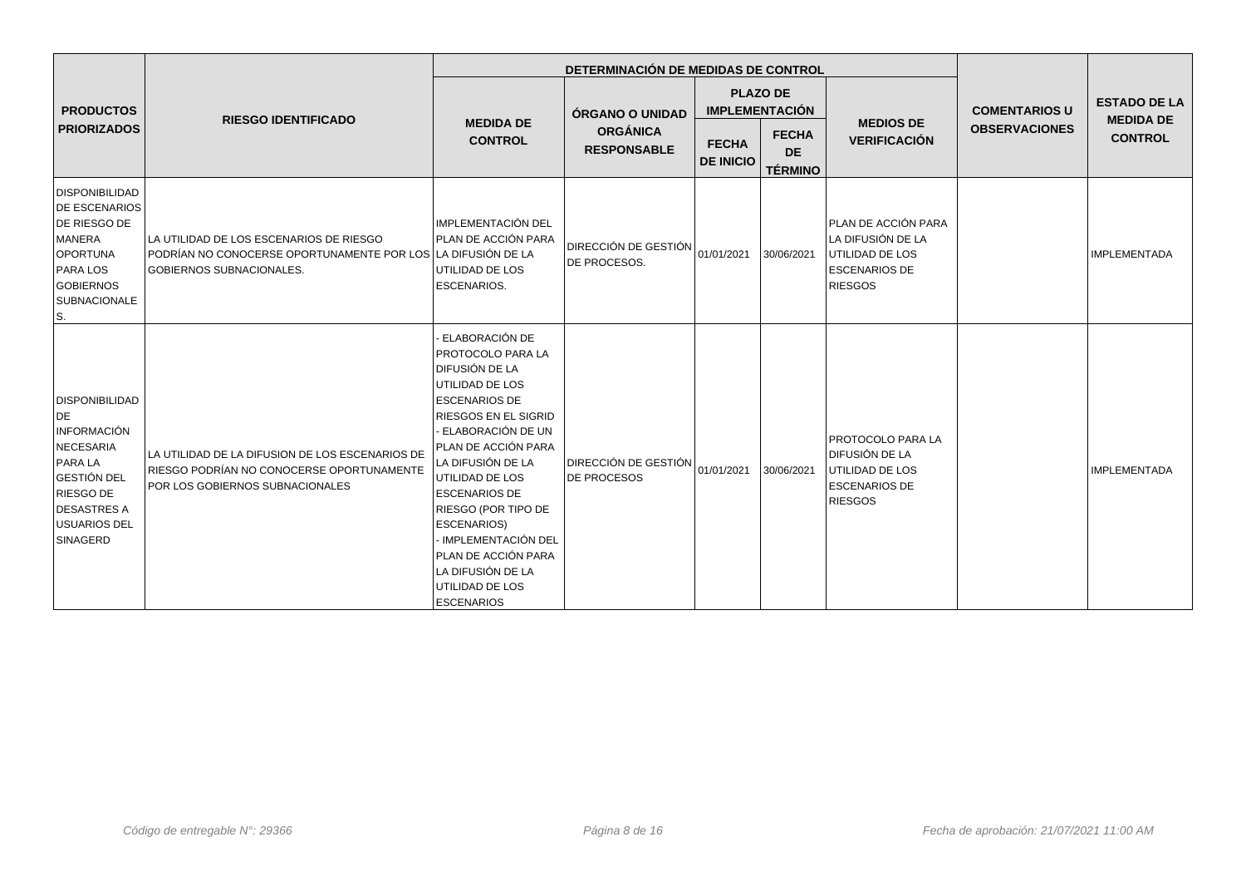|                                                                                                                                                                       |                                                                                                                                            |                                                                                                                                                                                                                                                                                                                                                                                                                      | DETERMINACIÓN DE MEDIDAS DE CONTROL               |                  |                                                          |                                                                                                                |                                              | <b>ESTADO DE LA</b><br><b>MEDIDA DE</b><br><b>CONTROL</b><br><b>IMPLEMENTADA</b> |
|-----------------------------------------------------------------------------------------------------------------------------------------------------------------------|--------------------------------------------------------------------------------------------------------------------------------------------|----------------------------------------------------------------------------------------------------------------------------------------------------------------------------------------------------------------------------------------------------------------------------------------------------------------------------------------------------------------------------------------------------------------------|---------------------------------------------------|------------------|----------------------------------------------------------|----------------------------------------------------------------------------------------------------------------|----------------------------------------------|----------------------------------------------------------------------------------|
| <b>PRODUCTOS</b><br><b>PRIORIZADOS</b>                                                                                                                                | <b>RIESGO IDENTIFICADO</b>                                                                                                                 | <b>MEDIDA DE</b><br><b>CONTROL</b>                                                                                                                                                                                                                                                                                                                                                                                   | ÓRGANO O UNIDAD<br><b>ORGÁNICA</b>                | <b>FECHA</b>     | <b>PLAZO DE</b><br><b>IMPLEMENTACIÓN</b><br><b>FECHA</b> | <b>MEDIOS DE</b><br><b>VERIFICACIÓN</b>                                                                        | <b>COMENTARIOS U</b><br><b>OBSERVACIONES</b> |                                                                                  |
|                                                                                                                                                                       |                                                                                                                                            |                                                                                                                                                                                                                                                                                                                                                                                                                      | <b>RESPONSABLE</b>                                | <b>DE INICIO</b> | <b>DE</b><br><b>TÉRMINO</b>                              |                                                                                                                |                                              |                                                                                  |
| DISPONIBILIDAD<br><b>DE ESCENARIOS</b><br>DE RIESGO DE<br>MANERA<br>OPORTUNA<br><b>PARA LOS</b><br>GOBIERNOS<br><b>SUBNACIONALE</b><br>S.                             | LA UTILIDAD DE LOS ESCENARIOS DE RIESGO<br>PODRÍAN NO CONOCERSE OPORTUNAMENTE POR LOS LA DIFUSIÓN DE LA<br><b>GOBIERNOS SUBNACIONALES.</b> | IMPLEMENTACIÓN DEL<br>PLAN DE ACCIÓN PARA<br>UTILIDAD DE LOS<br><b>ESCENARIOS.</b>                                                                                                                                                                                                                                                                                                                                   | <b>DIRECCIÓN DE GESTIÓN</b><br>DE PROCESOS.       | 01/01/2021       | 30/06/2021                                               | PLAN DE ACCIÓN PARA<br>LA DIFUSIÓN DE LA<br><b>UTILIDAD DE LOS</b><br><b>ESCENARIOS DE</b><br><b>RIESGOS</b>   |                                              |                                                                                  |
| DISPONIBILIDAD<br>DE<br><b>INFORMACIÓN</b><br>NECESARIA<br><b>PARA LA</b><br><b>GESTIÓN DEL</b><br>RIESGO DE<br><b>DESASTRES A</b><br><b>USUARIOS DEL</b><br>SINAGERD | LA UTILIDAD DE LA DIFUSION DE LOS ESCENARIOS DE<br>RIESGO PODRÍAN NO CONOCERSE OPORTUNAMENTE<br>POR LOS GOBIERNOS SUBNACIONALES            | <b>ELABORACIÓN DE</b><br><b>PROTOCOLO PARA LA</b><br><b>DIFUSIÓN DE LA</b><br>UTILIDAD DE LOS<br><b>ESCENARIOS DE</b><br>RIESGOS EN EL SIGRID<br>- ELABORACIÓN DE UN<br>PLAN DE ACCIÓN PARA<br>LA DIFUSIÓN DE LA<br>UTILIDAD DE LOS<br><b>ESCENARIOS DE</b><br>RIESGO (POR TIPO DE<br><b>ESCENARIOS)</b><br>- IMPLEMENTACIÓN DEL<br>PLAN DE ACCIÓN PARA<br>LA DIFUSIÓN DE LA<br>UTILIDAD DE LOS<br><b>ESCENARIOS</b> | <b>DIRECCIÓN DE GESTIÓN</b><br><b>DE PROCESOS</b> | 01/01/2021       | 30/06/2021                                               | <b>PROTOCOLO PARA LA</b><br><b>DIFUSIÓN DE LA</b><br>UTILIDAD DE LOS<br><b>ESCENARIOS DE</b><br><b>RIESGOS</b> |                                              | <b>IMPLEMENTADA</b>                                                              |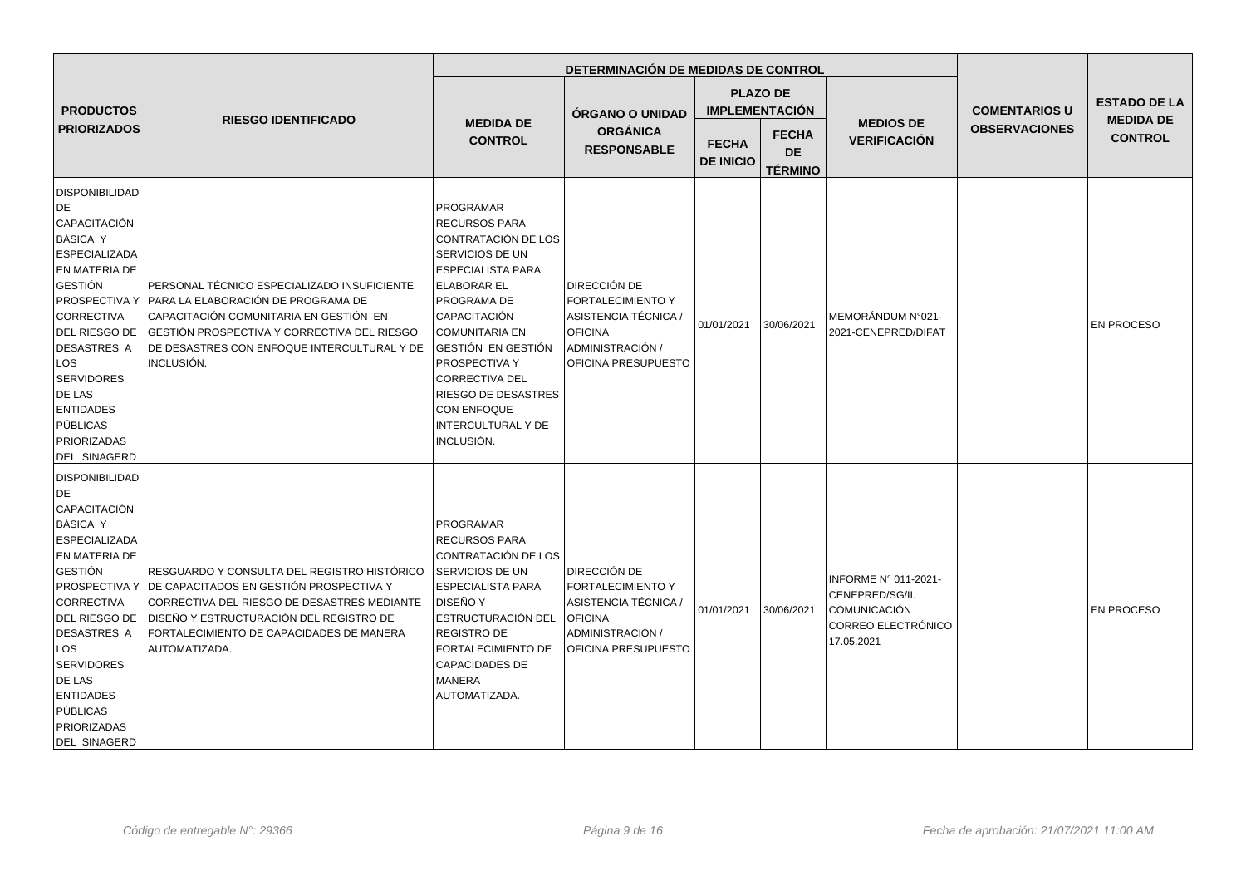|                                                                                                                                                                                                                                                                                       |                                                                                                                                                                                                                                                                    |                                                                                                                                                                                                                                                                                                                                                      | DETERMINACIÓN DE MEDIDAS DE CONTROL                                                                                                         |                                  |                                             |                                                                                                    |                      |                                    |
|---------------------------------------------------------------------------------------------------------------------------------------------------------------------------------------------------------------------------------------------------------------------------------------|--------------------------------------------------------------------------------------------------------------------------------------------------------------------------------------------------------------------------------------------------------------------|------------------------------------------------------------------------------------------------------------------------------------------------------------------------------------------------------------------------------------------------------------------------------------------------------------------------------------------------------|---------------------------------------------------------------------------------------------------------------------------------------------|----------------------------------|---------------------------------------------|----------------------------------------------------------------------------------------------------|----------------------|------------------------------------|
| <b>PRODUCTOS</b>                                                                                                                                                                                                                                                                      |                                                                                                                                                                                                                                                                    |                                                                                                                                                                                                                                                                                                                                                      | <b>ÓRGANO O UNIDAD</b>                                                                                                                      |                                  | <b>PLAZO DE</b><br><b>IMPLEMENTACIÓN</b>    |                                                                                                    | <b>COMENTARIOS U</b> | <b>ESTADO DE LA</b>                |
| <b>PRIORIZADOS</b>                                                                                                                                                                                                                                                                    | <b>RIESGO IDENTIFICADO</b>                                                                                                                                                                                                                                         | <b>MEDIDA DE</b><br><b>CONTROL</b>                                                                                                                                                                                                                                                                                                                   | <b>ORGÁNICA</b><br><b>RESPONSABLE</b>                                                                                                       | <b>FECHA</b><br><b>DE INICIO</b> | <b>FECHA</b><br><b>DE</b><br><b>TÉRMINO</b> | <b>MEDIOS DE</b><br><b>VERIFICACIÓN</b>                                                            | <b>OBSERVACIONES</b> | <b>MEDIDA DE</b><br><b>CONTROL</b> |
| <b>DISPONIBILIDAD</b><br>DE.<br>CAPACITACIÓN<br>BÁSICA Y<br><b>ESPECIALIZADA</b><br>EN MATERIA DE<br><b>GESTIÓN</b><br>CORRECTIVA<br>DEL RIESGO DE<br>DESASTRES A<br>LOS<br><b>SERVIDORES</b><br>DE LAS<br><b>ENTIDADES</b><br>PÚBLICAS<br>PRIORIZADAS<br><b>DEL SINAGERD</b>         | PERSONAL TÉCNICO ESPECIALIZADO INSUFICIENTE<br>PROSPECTIVA Y PAARA LA ELABORACIÓN DE PROGRAMA DE<br>CAPACITACIÓN COMUNITARIA EN GESTIÓN EN<br>IGESTIÓN PROSPECTIVA Y CORRECTIVA DEL RIESGO<br>DE DESASTRES CON ENFOQUE INTERCULTURAL Y DE<br>INCLUSIÓN.            | <b>PROGRAMAR</b><br><b>RECURSOS PARA</b><br>CONTRATACIÓN DE LOS<br>SERVICIOS DE UN<br><b>ESPECIALISTA PARA</b><br><b>ELABORAR EL</b><br>PROGRAMA DE<br>CAPACITACIÓN<br><b>COMUNITARIA EN</b><br>GESTIÓN EN GESTIÓN<br>PROSPECTIVA Y<br><b>CORRECTIVA DEL</b><br><b>RIESGO DE DESASTRES</b><br><b>CON ENFOQUE</b><br>INTERCULTURAL Y DE<br>INCLUSIÓN. | <b>DIRECCIÓN DE</b><br><b>FORTALECIMIENTO Y</b><br>ASISTENCIA TÉCNICA /<br><b>OFICINA</b><br>ADMINISTRACIÓN /<br><b>OFICINA PRESUPUESTO</b> | 01/01/2021                       | 30/06/2021                                  | MEMORÁNDUM N°021-<br>2021-CENEPRED/DIFAT                                                           |                      | <b>EN PROCESO</b>                  |
| DISPONIBILIDAD<br>DE.<br> CAPACITACIÓN<br>BÁSICA Y<br><b>ESPECIALIZADA</b><br>EN MATERIA DE<br><b>GESTIÓN</b><br><b>CORRECTIVA</b><br>DEL RIESGO DE<br><b>DESASTRES A</b><br>LOS<br><b>SERVIDORES</b><br><b>DE LAS</b><br><b>ENTIDADES</b><br>PÚBLICAS<br>PRIORIZADAS<br>DEL SINAGERD | RESGUARDO Y CONSULTA DEL REGISTRO HISTÓRICO<br>PROSPECTIVA Y DE CAPACITADOS EN GESTIÓN PROSPECTIVA Y<br>CORRECTIVA DEL RIESGO DE DESASTRES MEDIANTE<br><b>DISEÑO Y ESTRUCTURACIÓN DEL REGISTRO DE</b><br>FORTALECIMIENTO DE CAPACIDADES DE MANERA<br>AUTOMATIZADA. | <b>PROGRAMAR</b><br><b>RECURSOS PARA</b><br>CONTRATACIÓN DE LOS<br>SERVICIOS DE UN<br><b>ESPECIALISTA PARA</b><br><b>DISEÑO Y</b><br>ESTRUCTURACIÓN DEL<br><b>REGISTRO DE</b><br>FORTALECIMIENTO DE<br><b>CAPACIDADES DE</b><br><b>MANERA</b><br>AUTOMATIZADA.                                                                                       | DIRECCIÓN DE<br><b>FORTALECIMIENTO Y</b><br>ASISTENCIA TÉCNICA /<br><b>OFICINA</b><br>ADMINISTRACIÓN /<br>OFICINA PRESUPUESTO               | 01/01/2021                       | 30/06/2021                                  | INFORME N° 011-2021-<br>CENEPRED/SG/II.<br><b>COMUNICACIÓN</b><br>CORREO ELECTRÓNICO<br>17.05.2021 |                      | <b>EN PROCESO</b>                  |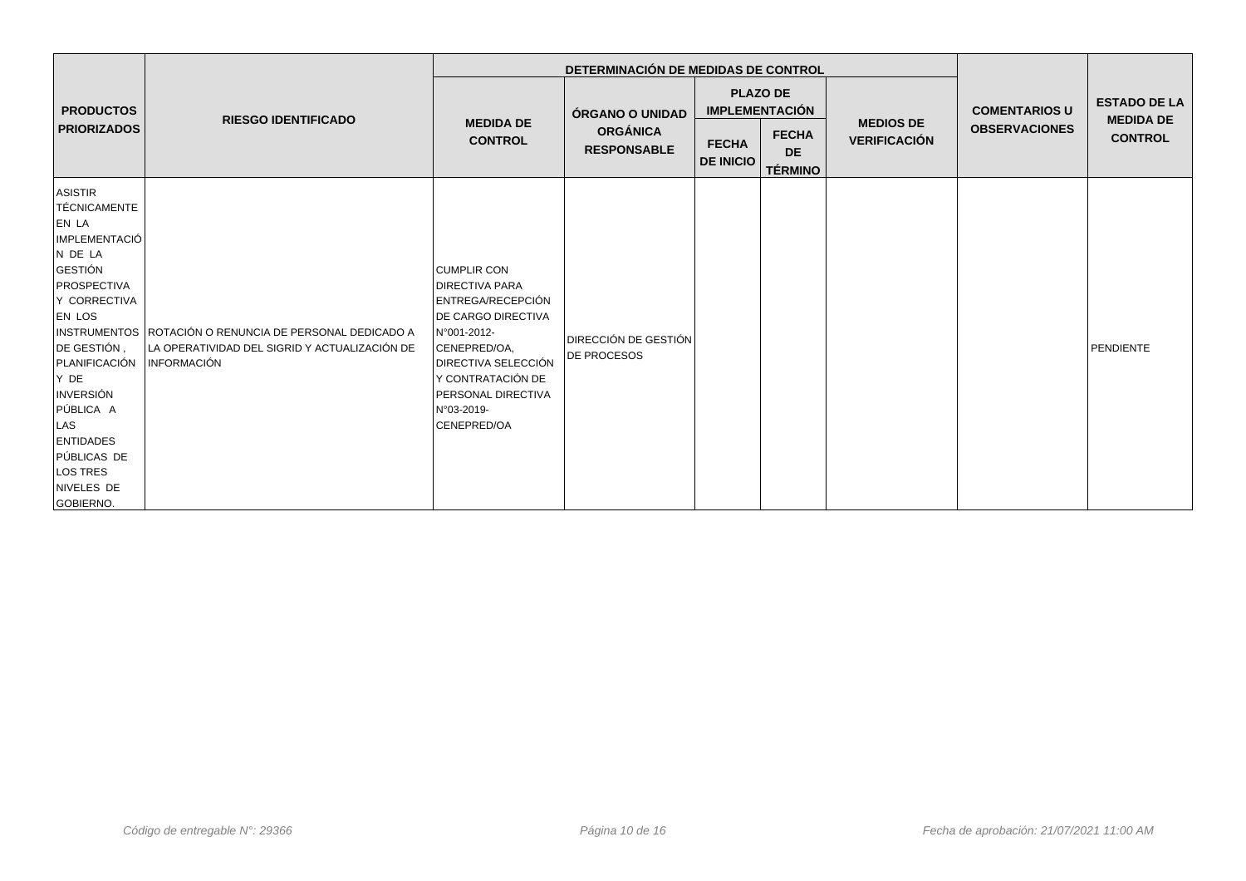|                                                                                                                                                                                                                                                                                          |                                                                                                                         |                                                                                                                                                                                                                                      | DETERMINACIÓN DE MEDIDAS DE CONTROL               |                                  |                                             |                     |                      |                                                                        |
|------------------------------------------------------------------------------------------------------------------------------------------------------------------------------------------------------------------------------------------------------------------------------------------|-------------------------------------------------------------------------------------------------------------------------|--------------------------------------------------------------------------------------------------------------------------------------------------------------------------------------------------------------------------------------|---------------------------------------------------|----------------------------------|---------------------------------------------|---------------------|----------------------|------------------------------------------------------------------------|
| <b>PRODUCTOS</b>                                                                                                                                                                                                                                                                         | <b>RIESGO IDENTIFICADO</b>                                                                                              | <b>MEDIDA DE</b>                                                                                                                                                                                                                     | ÓRGANO O UNIDAD                                   |                                  | <b>PLAZO DE</b><br><b>IMPLEMENTACIÓN</b>    | <b>MEDIOS DE</b>    | <b>COMENTARIOS U</b> | <b>ESTADO DE LA</b><br><b>MEDIDA DE</b><br><b>CONTROL</b><br>PENDIENTE |
| <b>PRIORIZADOS</b>                                                                                                                                                                                                                                                                       |                                                                                                                         | <b>CONTROL</b>                                                                                                                                                                                                                       | <b>ORGÁNICA</b><br><b>RESPONSABLE</b>             | <b>FECHA</b><br><b>DE INICIO</b> | <b>FECHA</b><br><b>DE</b><br><b>TÉRMINO</b> | <b>VERIFICACIÓN</b> | <b>OBSERVACIONES</b> |                                                                        |
| ASISTIR<br>TÉCNICAMENTE<br>EN LA<br><b>IMPLEMENTACIÓ</b><br>N DE LA<br>GESTIÓN<br>PROSPECTIVA<br>Y CORRECTIVA<br><b>EN LOS</b><br>DE GESTIÓN.<br>PLANIFICACIÓN<br>Y DE<br><b>INVERSIÓN</b><br>PÚBLICA A<br>LAS<br><b>ENTIDADES</b><br>PÚBLICAS DE<br>LOS TRES<br>NIVELES DE<br>GOBIERNO. | INSTRUMENTOS ROTACIÓN O RENUNCIA DE PERSONAL DEDICADO A<br>LA OPERATIVIDAD DEL SIGRID Y ACTUALIZACIÓN DE<br>INFORMACIÓN | <b>CUMPLIR CON</b><br><b>IDIRECTIVA PARA</b><br>ENTREGA/RECEPCIÓN<br><b>DE CARGO DIRECTIVA</b><br>N°001-2012-<br>CENEPRED/OA.<br><b>IDIRECTIVA SELECCIÓN</b><br>Y CONTRATACIÓN DE<br>PERSONAL DIRECTIVA<br>N°03-2019-<br>CENEPRED/OA | <b>DIRECCIÓN DE GESTIÓN</b><br><b>DE PROCESOS</b> |                                  |                                             |                     |                      |                                                                        |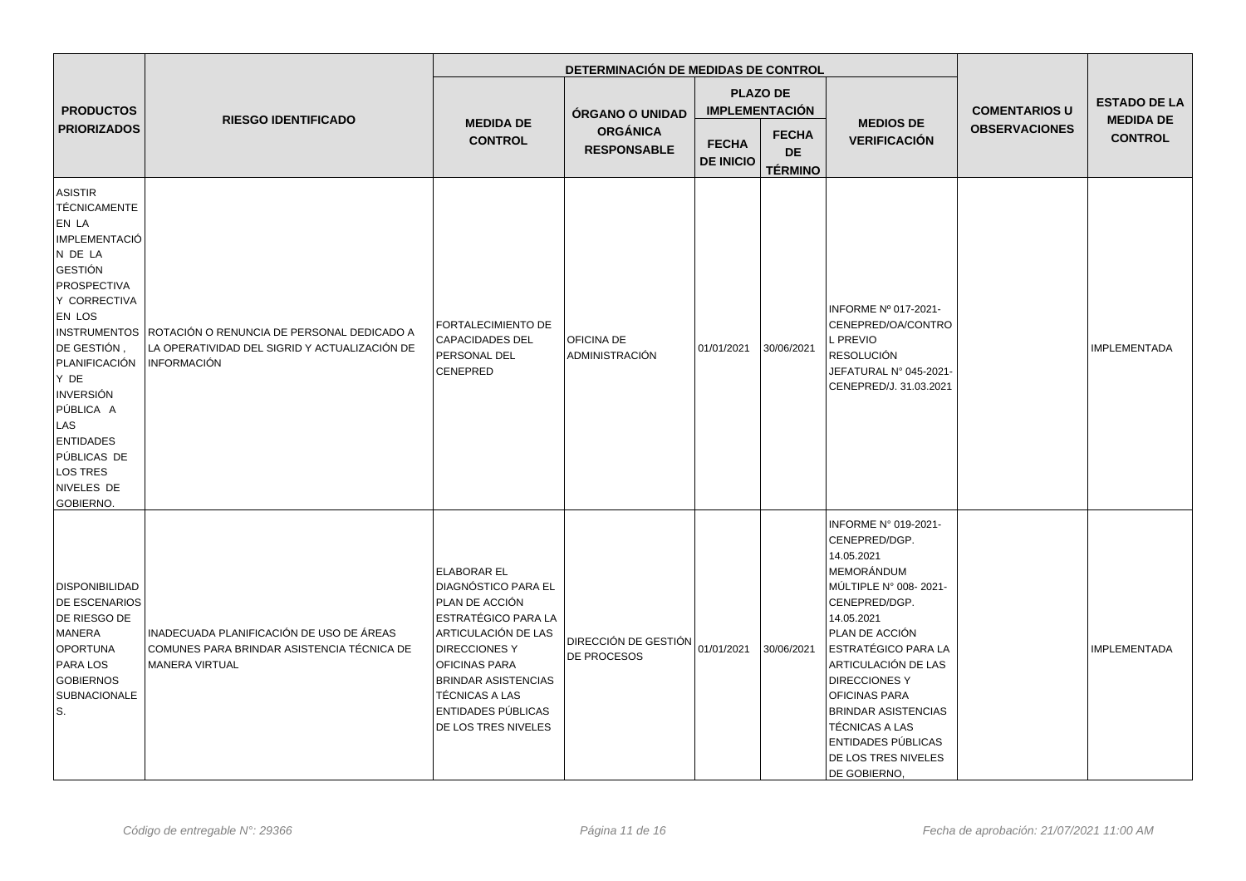|                                                                                                                                                                                                                                                                                            |                                                                                                                                |                                                                                                                                                                                                                                                                             | DETERMINACIÓN DE MEDIDAS DE CONTROL        |                                  |                                             |                                                                                                                                                                                                                                                                                                                                          |                      |                                    |
|--------------------------------------------------------------------------------------------------------------------------------------------------------------------------------------------------------------------------------------------------------------------------------------------|--------------------------------------------------------------------------------------------------------------------------------|-----------------------------------------------------------------------------------------------------------------------------------------------------------------------------------------------------------------------------------------------------------------------------|--------------------------------------------|----------------------------------|---------------------------------------------|------------------------------------------------------------------------------------------------------------------------------------------------------------------------------------------------------------------------------------------------------------------------------------------------------------------------------------------|----------------------|------------------------------------|
| <b>PRODUCTOS</b>                                                                                                                                                                                                                                                                           |                                                                                                                                |                                                                                                                                                                                                                                                                             | <b>ÓRGANO O UNIDAD</b>                     |                                  | <b>PLAZO DE</b><br><b>IMPLEMENTACIÓN</b>    |                                                                                                                                                                                                                                                                                                                                          | <b>COMENTARIOS U</b> | <b>ESTADO DE LA</b>                |
| <b>PRIORIZADOS</b>                                                                                                                                                                                                                                                                         | <b>RIESGO IDENTIFICADO</b>                                                                                                     | <b>MEDIDA DE</b><br><b>CONTROL</b>                                                                                                                                                                                                                                          | <b>ORGÁNICA</b><br><b>RESPONSABLE</b>      | <b>FECHA</b><br><b>DE INICIO</b> | <b>FECHA</b><br><b>DE</b><br><b>TÉRMINO</b> | <b>MEDIOS DE</b><br><b>VERIFICACIÓN</b>                                                                                                                                                                                                                                                                                                  | <b>OBSERVACIONES</b> | <b>MEDIDA DE</b><br><b>CONTROL</b> |
| <b>ASISTIR</b><br><b>TÉCNICAMENTE</b><br>EN LA<br>IMPLEMENTACIÓ<br>N DE LA<br>GESTIÓN<br>PROSPECTIVA<br>Y CORRECTIVA<br>EN LOS<br> DE GESTIÓN ,<br>PLANIFICACIÓN<br>Y DE<br><b>INVERSIÓN</b><br>PÚBLICA A<br>LAS<br><b>ENTIDADES</b><br>PÚBLICAS DE<br>LOS TRES<br>NIVELES DE<br>GOBIERNO. | INSTRUMENTOS ROTACIÓN O RENUNCIA DE PERSONAL DEDICADO A<br>LA OPERATIVIDAD DEL SIGRID Y ACTUALIZACIÓN DE<br><b>INFORMACIÓN</b> | FORTALECIMIENTO DE<br><b>CAPACIDADES DEL</b><br>PERSONAL DEL<br>CENEPRED                                                                                                                                                                                                    | <b>OFICINA DE</b><br><b>ADMINISTRACIÓN</b> | 01/01/2021                       | 30/06/2021                                  | INFORME Nº 017-2021-<br>CENEPRED/OA/CONTRO<br>L PREVIO<br><b>RESOLUCIÓN</b><br>JEFATURAL Nº 045-2021-<br>CENEPRED/J. 31.03.2021                                                                                                                                                                                                          |                      | <b>IMPLEMENTADA</b>                |
| DISPONIBILIDAD<br><b>DE ESCENARIOS</b><br>DE RIESGO DE<br>MANERA<br>OPORTUNA<br><b>PARA LOS</b><br><b>GOBIERNOS</b><br><b>SUBNACIONALE</b><br>ls.                                                                                                                                          | INADECUADA PLANIFICACIÓN DE USO DE ÁREAS<br>COMUNES PARA BRINDAR ASISTENCIA TÉCNICA DE<br>MANERA VIRTUAL                       | <b>ELABORAR EL</b><br><b>DIAGNÓSTICO PARA EL</b><br>PLAN DE ACCIÓN<br>ESTRATÉGICO PARA LA<br>ARTICULACIÓN DE LAS<br><b>DIRECCIONES Y</b><br><b>OFICINAS PARA</b><br><b>BRINDAR ASISTENCIAS</b><br><b>TÉCNICAS A LAS</b><br><b>ENTIDADES PÚBLICAS</b><br>DE LOS TRES NIVELES | DIRECCIÓN DE GESTIÓN<br><b>DE PROCESOS</b> | 01/01/2021                       | 30/06/2021                                  | INFORME N° 019-2021-<br>CENEPRED/DGP.<br>14.05.2021<br>MEMORÁNDUM<br>MÚLTIPLE N° 008-2021-<br>CENEPRED/DGP.<br>14.05.2021<br>PLAN DE ACCIÓN<br>ESTRATÉGICO PARA LA<br>ARTICULACIÓN DE LAS<br>DIRECCIONES Y<br>OFICINAS PARA<br><b>BRINDAR ASISTENCIAS</b><br>TÉCNICAS A LAS<br>ENTIDADES PÚBLICAS<br>DE LOS TRES NIVELES<br>DE GOBIERNO, |                      | <b>IMPLEMENTADA</b>                |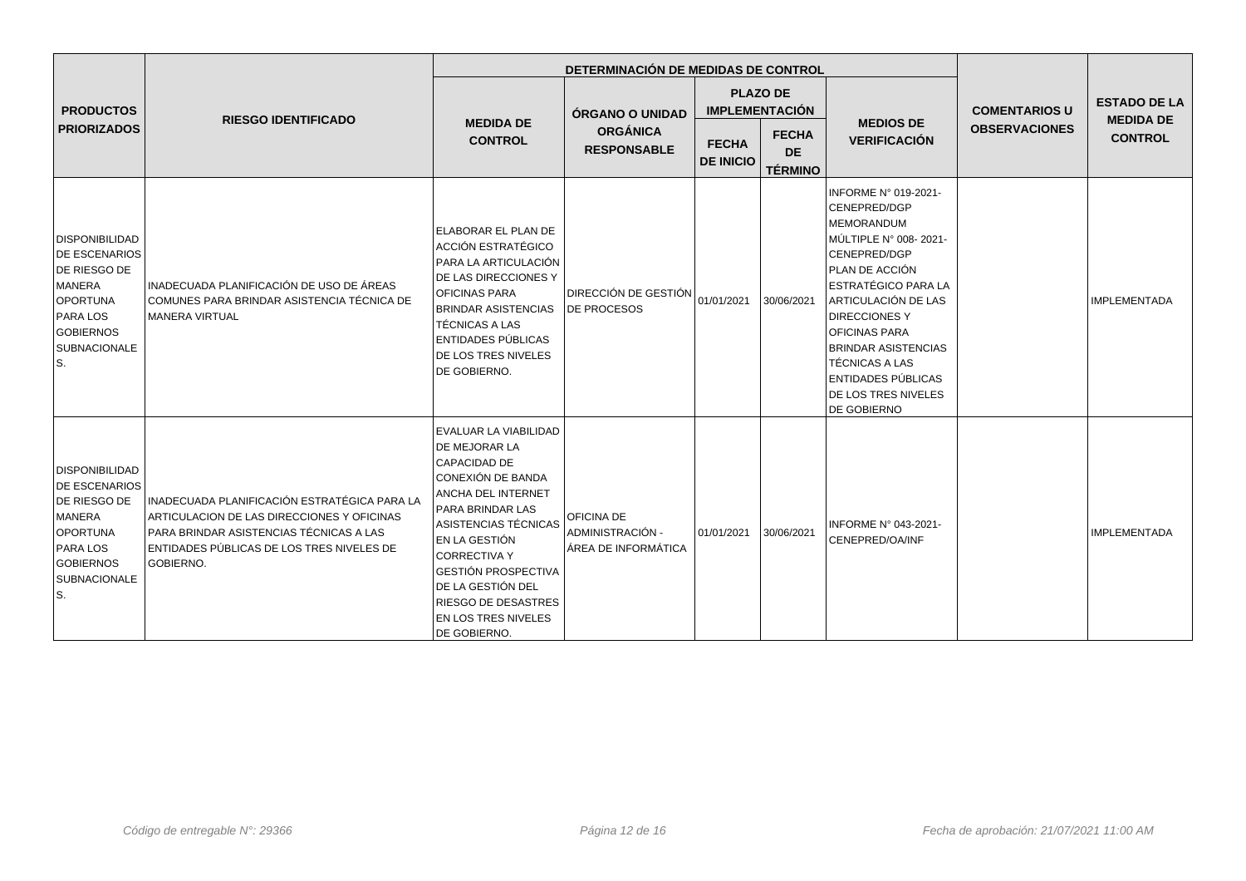|                                                                                                                                                          | <b>RIESGO IDENTIFICADO</b>                                                                                                                                                                      |                                                                                                                                                                                                                                                                                                                                           | DETERMINACIÓN DE MEDIDAS DE CONTROL                          |                                               |                                          |                                                                                                                                                                                                                                                                                                                                                     |                      |                                    |
|----------------------------------------------------------------------------------------------------------------------------------------------------------|-------------------------------------------------------------------------------------------------------------------------------------------------------------------------------------------------|-------------------------------------------------------------------------------------------------------------------------------------------------------------------------------------------------------------------------------------------------------------------------------------------------------------------------------------------|--------------------------------------------------------------|-----------------------------------------------|------------------------------------------|-----------------------------------------------------------------------------------------------------------------------------------------------------------------------------------------------------------------------------------------------------------------------------------------------------------------------------------------------------|----------------------|------------------------------------|
| <b>PRODUCTOS</b><br><b>PRIORIZADOS</b>                                                                                                                   |                                                                                                                                                                                                 | <b>MEDIDA DE</b><br><b>CONTROL</b>                                                                                                                                                                                                                                                                                                        | <b>ÓRGANO O UNIDAD</b>                                       |                                               | <b>PLAZO DE</b><br><b>IMPLEMENTACIÓN</b> |                                                                                                                                                                                                                                                                                                                                                     | <b>COMENTARIOS U</b> | <b>ESTADO DE LA</b>                |
|                                                                                                                                                          |                                                                                                                                                                                                 |                                                                                                                                                                                                                                                                                                                                           | <b>ORGÁNICA</b><br><b>RESPONSABLE</b>                        | <b>FECHA</b><br><b>DE</b><br><b>DE INICIO</b> | <b>FECHA</b><br><b>TÉRMINO</b>           | <b>MEDIOS DE</b><br><b>VERIFICACIÓN</b>                                                                                                                                                                                                                                                                                                             | <b>OBSERVACIONES</b> | <b>MEDIDA DE</b><br><b>CONTROL</b> |
| <b>DISPONIBILIDAD</b><br><b>DE ESCENARIOS</b><br><b>DE RIESGO DE</b><br>MANERA<br>OPORTUNA<br><b>PARA LOS</b><br>GOBIERNOS<br>SUBNACIONALE<br>lS.        | INADECUADA PLANIFICACIÓN DE USO DE ÁREAS<br>COMUNES PARA BRINDAR ASISTENCIA TÉCNICA DE<br>MANERA VIRTUAL                                                                                        | ELABORAR EL PLAN DE<br>ACCIÓN ESTRATÉGICO<br>PARA LA ARTICULACIÓN<br><b>DE LAS DIRECCIONES Y</b><br><b>OFICINAS PARA</b><br><b>BRINDAR ASISTENCIAS</b><br><b>TÉCNICAS A LAS</b><br>ENTIDADES PÚBLICAS<br><b>DE LOS TRES NIVELES</b><br>DE GOBIERNO.                                                                                       | <b>DIRECCIÓN DE GESTIÓN</b><br><b>DE PROCESOS</b>            | 01/01/2021                                    | 30/06/2021                               | INFORME N° 019-2021-<br>CENEPRED/DGP<br><b>MEMORANDUM</b><br>MÚLTIPLE N° 008-2021-<br>CENEPRED/DGP<br>PLAN DE ACCIÓN<br><b>ESTRATÉGICO PARA LA</b><br>ARTICULACIÓN DE LAS<br><b>DIRECCIONES Y</b><br>OFICINAS PARA<br><b>BRINDAR ASISTENCIAS</b><br><b>TÉCNICAS A LAS</b><br>ENTIDADES PÚBLICAS<br><b>DE LOS TRES NIVELES</b><br><b>DE GOBIERNO</b> |                      | <b>IMPLEMENTADA</b>                |
| <b>DISPONIBILIDAD</b><br><b>DE ESCENARIOS</b><br>DE RIESGO DE<br>MANERA<br><b>OPORTUNA</b><br><b>PARA LOS</b><br><b>GOBIERNOS</b><br>SUBNACIONALE<br>ls. | INADECUADA PLANIFICACIÓN ESTRATÉGICA PARA LA<br>ARTICULACION DE LAS DIRECCIONES Y OFICINAS<br>PARA BRINDAR ASISTENCIAS TÉCNICAS A LAS<br>ENTIDADES PÚBLICAS DE LOS TRES NIVELES DE<br>GOBIERNO. | EVALUAR LA VIABILIDAD<br><b>DE MEJORAR LA</b><br><b>CAPACIDAD DE</b><br>CONEXIÓN DE BANDA<br><b>ANCHA DEL INTERNET</b><br><b>PARA BRINDAR LAS</b><br>ASISTENCIAS TÉCNICAS<br>EN LA GESTIÓN<br><b>CORRECTIVA Y</b><br>GESTIÓN PROSPECTIVA<br>DE LA GESTIÓN DEL<br><b>RIESGO DE DESASTRES</b><br><b>EN LOS TRES NIVELES</b><br>DE GOBIERNO. | <b>OFICINA DE</b><br>ADMINISTRACIÓN -<br>ÁREA DE INFORMÁTICA | 01/01/2021                                    | 30/06/2021                               | INFORME N° 043-2021-<br>CENEPRED/OA/INF                                                                                                                                                                                                                                                                                                             |                      | <b>IMPLEMENTADA</b>                |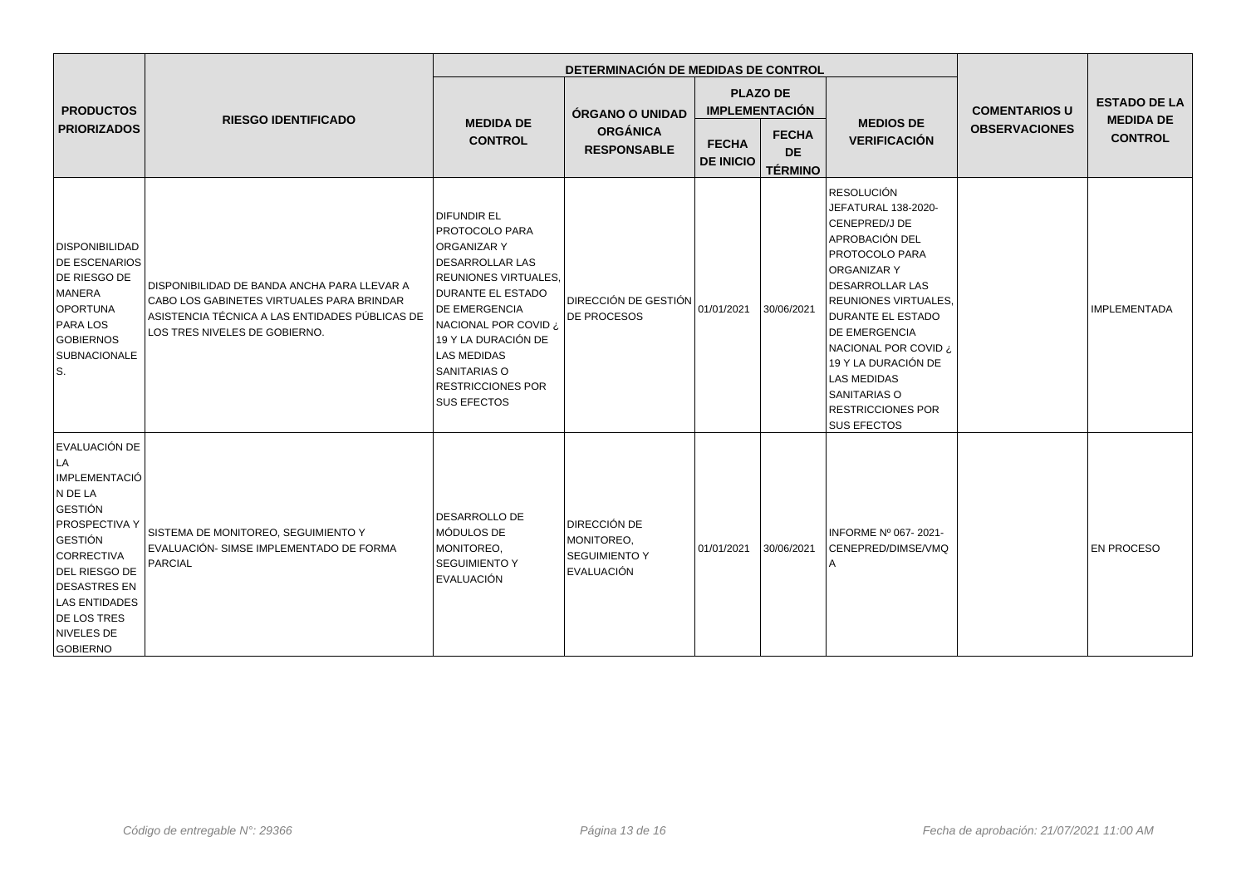|                                                                                                                                                                                                                                                  | <b>RIESGO IDENTIFICADO</b>                                                                                                                                                  |                                                                                                                                                                                                                                                                                           | DETERMINACIÓN DE MEDIDAS DE CONTROL                                     |                                          |                                             |                                                                                                                                                                                                                                                                                                                                                                  |                      |                                    |
|--------------------------------------------------------------------------------------------------------------------------------------------------------------------------------------------------------------------------------------------------|-----------------------------------------------------------------------------------------------------------------------------------------------------------------------------|-------------------------------------------------------------------------------------------------------------------------------------------------------------------------------------------------------------------------------------------------------------------------------------------|-------------------------------------------------------------------------|------------------------------------------|---------------------------------------------|------------------------------------------------------------------------------------------------------------------------------------------------------------------------------------------------------------------------------------------------------------------------------------------------------------------------------------------------------------------|----------------------|------------------------------------|
| <b>PRODUCTOS</b><br><b>PRIORIZADOS</b>                                                                                                                                                                                                           |                                                                                                                                                                             | <b>MEDIDA DE</b><br><b>CONTROL</b>                                                                                                                                                                                                                                                        | ÓRGANO O UNIDAD<br><b>ORGÁNICA</b><br><b>RESPONSABLE</b>                | <b>PLAZO DE</b><br><b>IMPLEMENTACIÓN</b> |                                             |                                                                                                                                                                                                                                                                                                                                                                  | <b>COMENTARIOS U</b> | <b>ESTADO DE LA</b>                |
|                                                                                                                                                                                                                                                  |                                                                                                                                                                             |                                                                                                                                                                                                                                                                                           |                                                                         | <b>FECHA</b><br><b>DE INICIO</b>         | <b>FECHA</b><br><b>DE</b><br><b>TÉRMINO</b> | <b>MEDIOS DE</b><br><b>VERIFICACIÓN</b>                                                                                                                                                                                                                                                                                                                          | <b>OBSERVACIONES</b> | <b>MEDIDA DE</b><br><b>CONTROL</b> |
| <b>DISPONIBILIDAD</b><br><b>DE ESCENARIOS</b><br><b>DE RIESGO DE</b><br>MANERA<br>OPORTUNA<br><b>PARA LOS</b><br><b>GOBIERNOS</b><br><b>SUBNACIONALE</b><br>ls.                                                                                  | DISPONIBILIDAD DE BANDA ANCHA PARA LLEVAR A<br>CABO LOS GABINETES VIRTUALES PARA BRINDAR<br>ASISTENCIA TÉCNICA A LAS ENTIDADES PÚBLICAS DE<br>LOS TRES NIVELES DE GOBIERNO. | DIFUNDIR EL<br>PROTOCOLO PARA<br>ORGANIZAR Y<br><b>DESARROLLAR LAS</b><br>REUNIONES VIRTUALES,<br><b>DURANTE EL ESTADO</b><br>DE EMERGENCIA<br>NACIONAL POR COVID ¿<br>19 Y LA DURACIÓN DE<br><b>LAS MEDIDAS</b><br><b>SANITARIAS O</b><br><b>RESTRICCIONES POR</b><br><b>SUS EFECTOS</b> | <b>DIRECCIÓN DE GESTIÓN</b><br><b>DE PROCESOS</b>                       | 01/01/2021                               | 30/06/2021                                  | <b>RESOLUCIÓN</b><br>JEFATURAL 138-2020-<br>CENEPRED/J DE<br>APROBACIÓN DEL<br>PROTOCOLO PARA<br><b>ORGANIZAR Y</b><br><b>DESARROLLAR LAS</b><br><b>REUNIONES VIRTUALES,</b><br><b>DURANTE EL ESTADO</b><br>DE EMERGENCIA<br>NACIONAL POR COVID ¿<br>19 Y LA DURACIÓN DE<br><b>LAS MEDIDAS</b><br>SANITARIAS O<br><b>RESTRICCIONES POR</b><br><b>SUS EFECTOS</b> |                      | <b>IMPLEMENTADA</b>                |
| EVALUACIÓN DE<br>LA<br><b>IMPLEMENTACIÓ</b><br>N DE LA<br><b>GESTIÓN</b><br><b>PROSPECTIVA Y</b><br>GESTIÓN<br>CORRECTIVA<br>DEL RIESGO DE<br><b>DESASTRES EN</b><br><b>LAS ENTIDADES</b><br><b>DE LOS TRES</b><br>NIVELES DE<br><b>GOBIERNO</b> | SISTEMA DE MONITOREO, SEGUIMIENTO Y<br>EVALUACIÓN- SIMSE IMPLEMENTADO DE FORMA<br><b>PARCIAL</b>                                                                            | <b>DESARROLLO DE</b><br>MÓDULOS DE<br>MONITOREO,<br><b>SEGUIMIENTO Y</b><br>EVALUACIÓN                                                                                                                                                                                                    | <b>DIRECCIÓN DE</b><br>MONITOREO,<br><b>SEGUIMIENTO Y</b><br>EVALUACIÓN | 01/01/2021                               | 30/06/2021                                  | INFORME Nº 067-2021-<br>CENEPRED/DIMSE/VMQ                                                                                                                                                                                                                                                                                                                       |                      | <b>EN PROCESO</b>                  |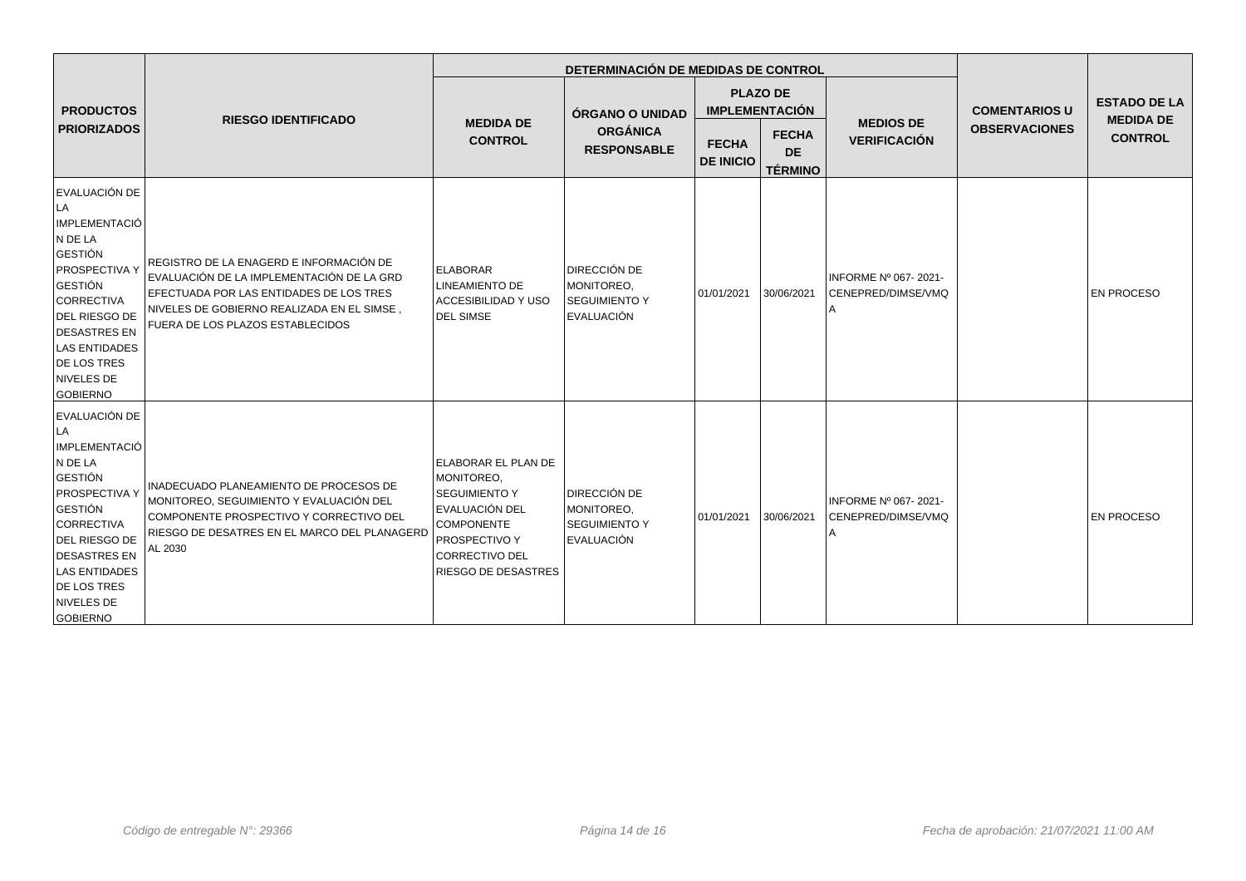|                                                                                                                                                                                                                                                   | <b>RIESGO IDENTIFICADO</b>                                                                                                                                                                                                |                                                                                                                                                                           | DETERMINACIÓN DE MEDIDAS DE CONTROL                                     |                                  |                                             |                                            |                      |                                         |
|---------------------------------------------------------------------------------------------------------------------------------------------------------------------------------------------------------------------------------------------------|---------------------------------------------------------------------------------------------------------------------------------------------------------------------------------------------------------------------------|---------------------------------------------------------------------------------------------------------------------------------------------------------------------------|-------------------------------------------------------------------------|----------------------------------|---------------------------------------------|--------------------------------------------|----------------------|-----------------------------------------|
| <b>PRODUCTOS</b>                                                                                                                                                                                                                                  |                                                                                                                                                                                                                           | <b>MEDIDA DE</b><br><b>CONTROL</b>                                                                                                                                        | ÓRGANO O UNIDAD                                                         |                                  | <b>PLAZO DE</b><br><b>IMPLEMENTACIÓN</b>    |                                            | <b>COMENTARIOS U</b> | <b>ESTADO DE LA</b><br><b>MEDIDA DE</b> |
| <b>PRIORIZADOS</b>                                                                                                                                                                                                                                |                                                                                                                                                                                                                           |                                                                                                                                                                           | <b>ORGÁNICA</b><br><b>RESPONSABLE</b>                                   | <b>FECHA</b><br><b>DE INICIO</b> | <b>FECHA</b><br><b>DE</b><br><b>TÉRMINO</b> | <b>MEDIOS DE</b><br><b>VERIFICACIÓN</b>    | <b>OBSERVACIONES</b> | <b>CONTROL</b>                          |
| EVALUACIÓN DE<br> LA<br>IMPLEMENTACIÓ<br>N DE LA<br><b>GESTIÓN</b><br><b>PROSPECTIVA Y</b><br><b>GESTIÓN</b><br><b>CORRECTIVA</b><br>DEL RIESGO DE<br><b>DESASTRES EN</b><br><b>LAS ENTIDADES</b><br>DE LOS TRES<br>NIVELES DE<br><b>GOBIERNO</b> | REGISTRO DE LA ENAGERD E INFORMACIÓN DE<br>EVALUACIÓN DE LA IMPLEMENTACIÓN DE LA GRD<br><b>IEFECTUADA POR LAS ENTIDADES DE LOS TRES</b><br>NIVELES DE GOBIERNO REALIZADA EN EL SIMSE,<br>FUERA DE LOS PLAZOS ESTABLECIDOS | <b>ELABORAR</b><br><b>LINEAMIENTO DE</b><br>ACCESIBILIDAD Y USO<br><b>DEL SIMSE</b>                                                                                       | <b>DIRECCIÓN DE</b><br>MONITOREO,<br><b>SEGUIMIENTO Y</b><br>EVALUACIÓN | 01/01/2021                       | 30/06/2021                                  | INFORME Nº 067-2021-<br>CENEPRED/DIMSE/VMQ |                      | <b>EN PROCESO</b>                       |
| EVALUACIÓN DE<br>LA<br>IMPLEMENTACIÓ<br>N DE LA<br>GESTIÓN<br><b>PROSPECTIVA Y</b><br><b>GESTIÓN</b><br>CORRECTIVA<br>DEL RIESGO DE<br><b>DESASTRES EN</b><br><b>LAS ENTIDADES</b><br><b>DE LOS TRES</b><br>NIVELES DE<br><b>GOBIERNO</b>         | INADECUADO PLANEAMIENTO DE PROCESOS DE<br>MONITOREO, SEGUIMIENTO Y EVALUACIÓN DEL<br>COMPONENTE PROSPECTIVO Y CORRECTIVO DEL<br>RIESGO DE DESATRES EN EL MARCO DEL PLANAGERD<br>AL 2030                                   | <b>ELABORAR EL PLAN DE</b><br>MONITOREO,<br><b>SEGUIMIENTO Y</b><br>EVALUACIÓN DEL<br><b>COMPONENTE</b><br><b>PROSPECTIVO Y</b><br> CORRECTIVO DEL<br>RIESGO DE DESASTRES | <b>DIRECCIÓN DE</b><br>MONITOREO,<br><b>SEGUIMIENTO Y</b><br>EVALUACIÓN | 01/01/2021                       | 30/06/2021                                  | INFORME Nº 067-2021-<br>CENEPRED/DIMSE/VMQ |                      | <b>EN PROCESO</b>                       |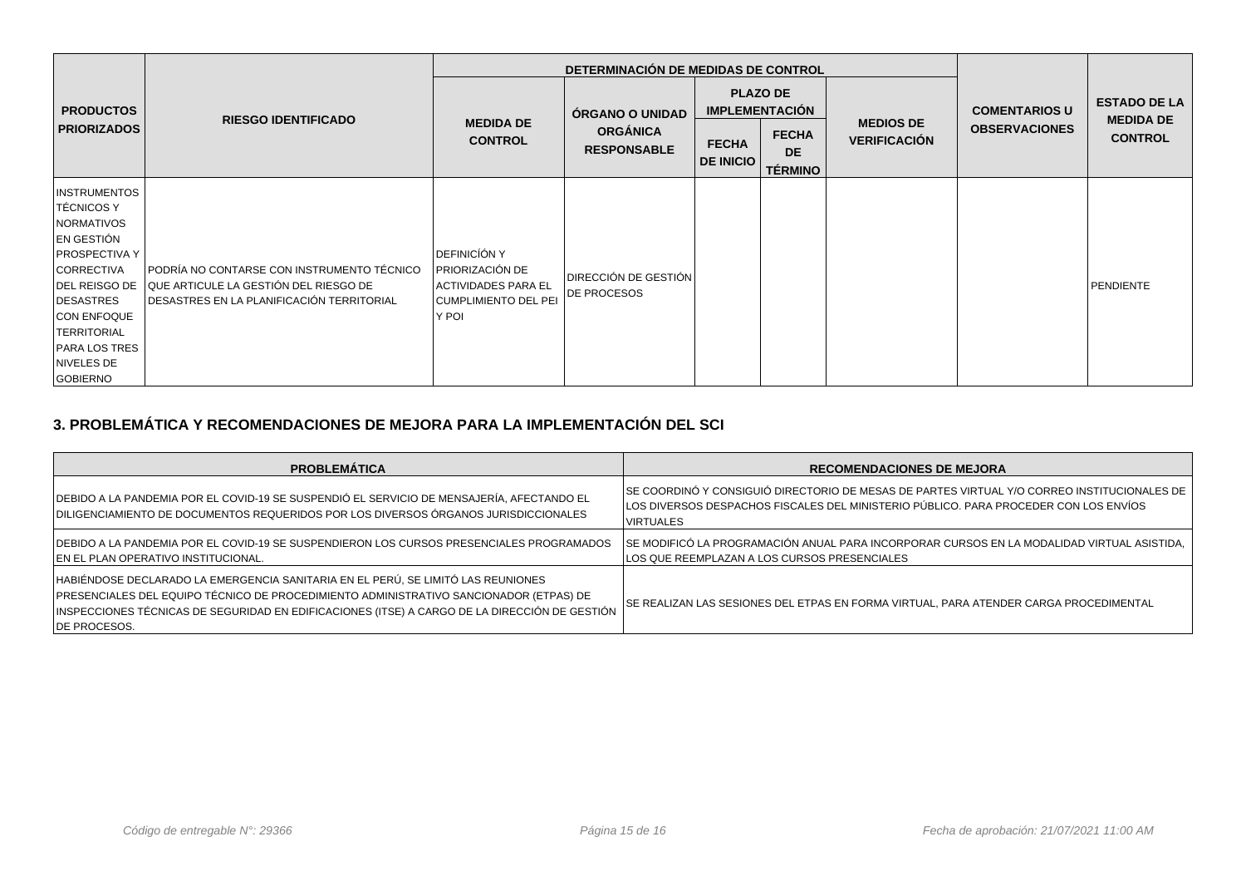|                                                                                                                                                                                                                                               |                                                                                                                                  |                                                                                                         | DETERMINACIÓN DE MEDIDAS DE CONTROL                      |                                  |                                                                                         |                                         |                                              |                                                           |
|-----------------------------------------------------------------------------------------------------------------------------------------------------------------------------------------------------------------------------------------------|----------------------------------------------------------------------------------------------------------------------------------|---------------------------------------------------------------------------------------------------------|----------------------------------------------------------|----------------------------------|-----------------------------------------------------------------------------------------|-----------------------------------------|----------------------------------------------|-----------------------------------------------------------|
| <b>PRODUCTOS</b><br><b>PRIORIZADOS</b>                                                                                                                                                                                                        | <b>RIESGO IDENTIFICADO</b>                                                                                                       | <b>MEDIDA DE</b><br><b>CONTROL</b>                                                                      | ÓRGANO O UNIDAD<br><b>ORGÁNICA</b><br><b>RESPONSABLE</b> | <b>FECHA</b><br><b>DE INICIO</b> | <b>PLAZO DE</b><br><b>IMPLEMENTACIÓN</b><br><b>FECHA</b><br><b>DE</b><br><b>TÉRMINO</b> | <b>MEDIOS DE</b><br><b>VERIFICACIÓN</b> | <b>COMENTARIOS U</b><br><b>OBSERVACIONES</b> | <b>ESTADO DE LA</b><br><b>MEDIDA DE</b><br><b>CONTROL</b> |
| <b>INSTRUMENTOS</b><br>TÉCNICOS Y<br>NORMATIVOS<br>EN GESTIÓN<br><b>PROSPECTIVA Y</b><br><b>CORRECTIVA</b><br>DEL REISGO DE<br>DESASTRES<br><b>CON ENFOQUE</b><br><b>TERRITORIAL</b><br><b>PARA LOS TRES</b><br>NIVELES DE<br><b>GOBIERNO</b> | PODRÍA NO CONTARSE CON INSTRUMENTO TÉCNICO<br>QUE ARTICULE LA GESTIÓN DEL RIESGO DE<br>DESASTRES EN LA PLANIFICACIÓN TERRITORIAL | <b>DEFINICÍÓN Y</b><br>I PRIORIZACIÓN DE<br>ACTIVIDADES PARA EL<br><b>CUMPLIMIENTO DEL PEI</b><br>Y POI | DIRECCIÓN DE GESTIÓN<br>DE PROCESOS                      |                                  |                                                                                         |                                         |                                              | PENDIENTE                                                 |

# **3. PROBLEMÁTICA Y RECOMENDACIONES DE MEJORA PARA LA IMPLEMENTACIÓN DEL SCI**

| <b>PROBLEMÁTICA</b>                                                                                                                                                                                                                                                                         | <b>RECOMENDACIONES DE MEJORA</b>                                                                                                                                                                         |
|---------------------------------------------------------------------------------------------------------------------------------------------------------------------------------------------------------------------------------------------------------------------------------------------|----------------------------------------------------------------------------------------------------------------------------------------------------------------------------------------------------------|
| DEBIDO A LA PANDEMIA POR EL COVID-19 SE SUSPENDIÓ EL SERVICIO DE MENSAJERÍA, AFECTANDO EL<br>DILIGENCIAMIENTO DE DOCUMENTOS REQUERIDOS POR LOS DIVERSOS ÓRGANOS JURISDICCIONALES                                                                                                            | ISE COORDINÓ Y CONSIGUIÓ DIRECTORIO DE MESAS DE PARTES VIRTUAL Y/O CORREO INSTITUCIONALES DE<br>LOS DIVERSOS DESPACHOS FISCALES DEL MINISTERIO PÚBLICO. PARA PROCEDER CON LOS ENVÍOS<br><b>VIRTUALES</b> |
| DEBIDO A LA PANDEMIA POR EL COVID-19 SE SUSPENDIERON LOS CURSOS PRESENCIALES PROGRAMADOS<br>EN EL PLAN OPERATIVO INSTITUCIONAL.                                                                                                                                                             | SE MODIFICÓ LA PROGRAMACIÓN ANUAL PARA INCORPORAR CURSOS EN LA MODALIDAD VIRTUAL ASISTIDA.<br>LOS QUE REEMPLAZAN A LOS CURSOS PRESENCIALES                                                               |
| HABIÉNDOSE DECLARADO LA EMERGENCIA SANITARIA EN EL PERÚ, SE LIMITÓ LAS REUNIONES<br>PRESENCIALES DEL EQUIPO TÉCNICO DE PROCEDIMIENTO ADMINISTRATIVO SANCIONADOR (ETPAS) DE<br>INSPECCIONES TÉCNICAS DE SEGURIDAD EN EDIFICACIONES (ITSE) A CARGO DE LA DIRECCIÓN DE GESTIÓN<br>DE PROCESOS. | SE REALIZAN LAS SESIONES DEL ETPAS EN FORMA VIRTUAL, PARA ATENDER CARGA PROCEDIMENTAL                                                                                                                    |